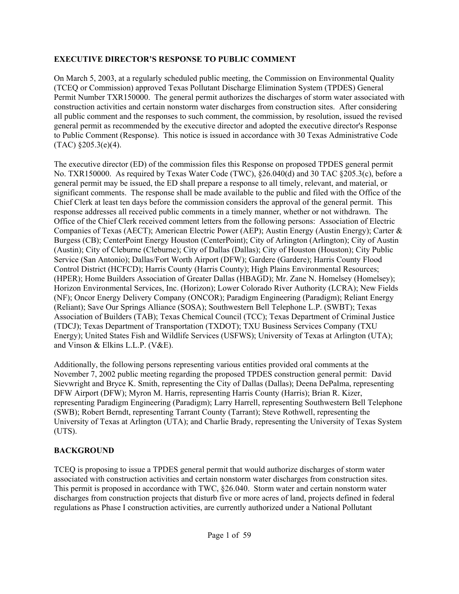### **EXECUTIVE DIRECTOR'S RESPONSE TO PUBLIC COMMENT**

On March 5, 2003, at a regularly scheduled public meeting, the Commission on Environmental Quality (TCEQ or Commission) approved Texas Pollutant Discharge Elimination System (TPDES) General Permit Number TXR150000. The general permit authorizes the discharges of storm water associated with construction activities and certain nonstorm water discharges from construction sites. After considering all public comment and the responses to such comment, the commission, by resolution, issued the revised general permit as recommended by the executive director and adopted the executive director's Response to Public Comment (Response). This notice is issued in accordance with 30 Texas Administrative Code  $(TAC)$  §205.3(e)(4).

The executive director (ED) of the commission files this Response on proposed TPDES general permit No. TXR150000. As required by Texas Water Code (TWC), §26.040(d) and 30 TAC §205.3(c), before a general permit may be issued, the ED shall prepare a response to all timely, relevant, and material, or significant comments. The response shall be made available to the public and filed with the Office of the Chief Clerk at least ten days before the commission considers the approval of the general permit. This response addresses all received public comments in a timely manner, whether or not withdrawn. The Office of the Chief Clerk received comment letters from the following persons: Association of Electric Companies of Texas (AECT); American Electric Power (AEP); Austin Energy (Austin Energy); Carter & Burgess (CB); CenterPoint Energy Houston (CenterPoint); City of Arlington (Arlington); City of Austin (Austin); City of Cleburne (Cleburne); City of Dallas (Dallas); City of Houston (Houston); City Public Service (San Antonio); Dallas/Fort Worth Airport (DFW); Gardere (Gardere); Harris County Flood Control District (HCFCD); Harris County (Harris County); High Plains Environmental Resources; (HPER); Home Builders Association of Greater Dallas (HBAGD); Mr. Zane N. Homelsey (Homelsey); Horizon Environmental Services, Inc. (Horizon); Lower Colorado River Authority (LCRA); New Fields (NF); Oncor Energy Delivery Company (ONCOR); Paradigm Engineering (Paradigm); Reliant Energy (Reliant); Save Our Springs Alliance (SOSA); Southwestern Bell Telephone L.P. (SWBT); Texas Association of Builders (TAB); Texas Chemical Council (TCC); Texas Department of Criminal Justice (TDCJ); Texas Department of Transportation (TXDOT); TXU Business Services Company (TXU Energy); United States Fish and Wildlife Services (USFWS); University of Texas at Arlington (UTA); and Vinson & Elkins L.L.P. (V&E).

Additionally, the following persons representing various entities provided oral comments at the November 7, 2002 public meeting regarding the proposed TPDES construction general permit: David Sievwright and Bryce K. Smith, representing the City of Dallas (Dallas); Deena DePalma, representing DFW Airport (DFW); Myron M. Harris, representing Harris County (Harris); Brian R. Kizer, representing Paradigm Engineering (Paradigm); Larry Harrell, representing Southwestern Bell Telephone (SWB); Robert Berndt, representing Tarrant County (Tarrant); Steve Rothwell, representing the University of Texas at Arlington (UTA); and Charlie Brady, representing the University of Texas System (UTS).

## **BACKGROUND**

TCEQ is proposing to issue a TPDES general permit that would authorize discharges of storm water associated with construction activities and certain nonstorm water discharges from construction sites. This permit is proposed in accordance with TWC, §26.040. Storm water and certain nonstorm water discharges from construction projects that disturb five or more acres of land, projects defined in federal regulations as Phase I construction activities, are currently authorized under a National Pollutant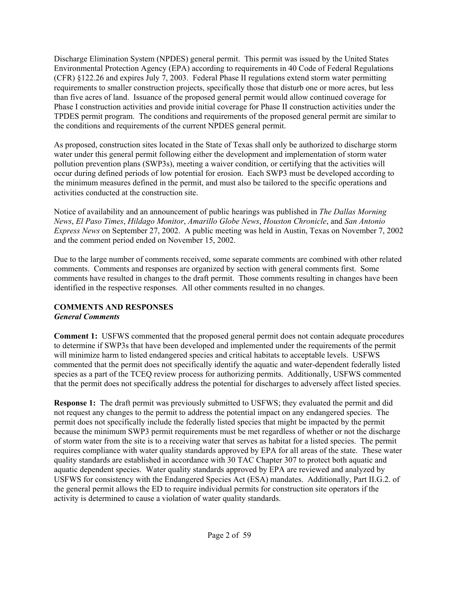Discharge Elimination System (NPDES) general permit. This permit was issued by the United States Environmental Protection Agency (EPA) according to requirements in 40 Code of Federal Regulations (CFR) §122.26 and expires July 7, 2003. Federal Phase II regulations extend storm water permitting requirements to smaller construction projects, specifically those that disturb one or more acres, but less than five acres of land. Issuance of the proposed general permit would allow continued coverage for Phase I construction activities and provide initial coverage for Phase II construction activities under the TPDES permit program. The conditions and requirements of the proposed general permit are similar to the conditions and requirements of the current NPDES general permit.

As proposed, construction sites located in the State of Texas shall only be authorized to discharge storm water under this general permit following either the development and implementation of storm water pollution prevention plans (SWP3s), meeting a waiver condition, or certifying that the activities will occur during defined periods of low potential for erosion. Each SWP3 must be developed according to the minimum measures defined in the permit, and must also be tailored to the specific operations and activities conducted at the construction site.

Notice of availability and an announcement of public hearings was published in *The Dallas Morning News*, *El Paso Times*, *Hildago Monitor*, *Amarillo Globe News*, *Houston Chronicle*, and *San Antonio Express News* on September 27, 2002. A public meeting was held in Austin, Texas on November 7, 2002 and the comment period ended on November 15, 2002.

Due to the large number of comments received, some separate comments are combined with other related comments. Comments and responses are organized by section with general comments first. Some comments have resulted in changes to the draft permit. Those comments resulting in changes have been identified in the respective responses. All other comments resulted in no changes.

#### **COMMENTS AND RESPONSES** *General Comments*

**Comment 1:** USFWS commented that the proposed general permit does not contain adequate procedures to determine if SWP3s that have been developed and implemented under the requirements of the permit will minimize harm to listed endangered species and critical habitats to acceptable levels. USFWS commented that the permit does not specifically identify the aquatic and water-dependent federally listed species as a part of the TCEQ review process for authorizing permits. Additionally, USFWS commented that the permit does not specifically address the potential for discharges to adversely affect listed species.

**Response 1:** The draft permit was previously submitted to USFWS; they evaluated the permit and did not request any changes to the permit to address the potential impact on any endangered species. The permit does not specifically include the federally listed species that might be impacted by the permit because the minimum SWP3 permit requirements must be met regardless of whether or not the discharge of storm water from the site is to a receiving water that serves as habitat for a listed species. The permit requires compliance with water quality standards approved by EPA for all areas of the state. These water quality standards are established in accordance with 30 TAC Chapter 307 to protect both aquatic and aquatic dependent species. Water quality standards approved by EPA are reviewed and analyzed by USFWS for consistency with the Endangered Species Act (ESA) mandates. Additionally, Part II.G.2. of the general permit allows the ED to require individual permits for construction site operators if the activity is determined to cause a violation of water quality standards.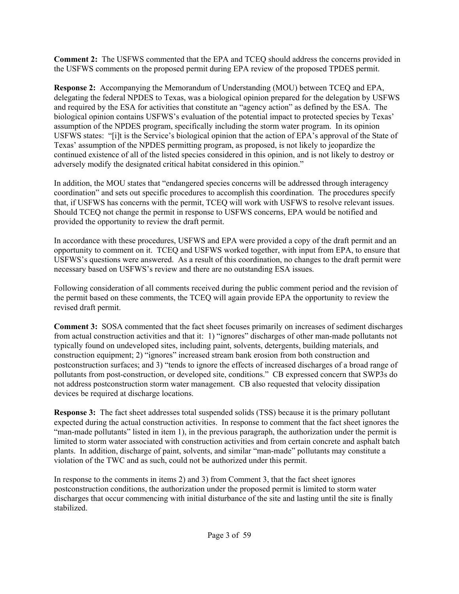**Comment 2:** The USFWS commented that the EPA and TCEQ should address the concerns provided in the USFWS comments on the proposed permit during EPA review of the proposed TPDES permit.

**Response 2:** Accompanying the Memorandum of Understanding (MOU) between TCEQ and EPA, delegating the federal NPDES to Texas, was a biological opinion prepared for the delegation by USFWS and required by the ESA for activities that constitute an "agency action" as defined by the ESA. The biological opinion contains USFWS's evaluation of the potential impact to protected species by Texas' assumption of the NPDES program, specifically including the storm water program. In its opinion USFWS states: "[i]t is the Service's biological opinion that the action of EPA's approval of the State of Texas' assumption of the NPDES permitting program, as proposed, is not likely to jeopardize the continued existence of all of the listed species considered in this opinion, and is not likely to destroy or adversely modify the designated critical habitat considered in this opinion."

In addition, the MOU states that "endangered species concerns will be addressed through interagency coordination" and sets out specific procedures to accomplish this coordination. The procedures specify that, if USFWS has concerns with the permit, TCEQ will work with USFWS to resolve relevant issues. Should TCEQ not change the permit in response to USFWS concerns, EPA would be notified and provided the opportunity to review the draft permit.

In accordance with these procedures, USFWS and EPA were provided a copy of the draft permit and an opportunity to comment on it. TCEQ and USFWS worked together, with input from EPA, to ensure that USFWS's questions were answered. As a result of this coordination, no changes to the draft permit were necessary based on USFWS's review and there are no outstanding ESA issues.

Following consideration of all comments received during the public comment period and the revision of the permit based on these comments, the TCEQ will again provide EPA the opportunity to review the revised draft permit.

**Comment 3:** SOSA commented that the fact sheet focuses primarily on increases of sediment discharges from actual construction activities and that it: 1) "ignores" discharges of other man-made pollutants not typically found on undeveloped sites, including paint, solvents, detergents, building materials, and construction equipment; 2) "ignores" increased stream bank erosion from both construction and postconstruction surfaces; and 3) "tends to ignore the effects of increased discharges of a broad range of pollutants from post-construction, or developed site, conditions." CB expressed concern that SWP3s do not address postconstruction storm water management. CB also requested that velocity dissipation devices be required at discharge locations.

**Response 3:** The fact sheet addresses total suspended solids (TSS) because it is the primary pollutant expected during the actual construction activities. In response to comment that the fact sheet ignores the "man-made pollutants" listed in item 1), in the previous paragraph, the authorization under the permit is limited to storm water associated with construction activities and from certain concrete and asphalt batch plants. In addition, discharge of paint, solvents, and similar "man-made" pollutants may constitute a violation of the TWC and as such, could not be authorized under this permit.

In response to the comments in items 2) and 3) from Comment 3, that the fact sheet ignores postconstruction conditions, the authorization under the proposed permit is limited to storm water discharges that occur commencing with initial disturbance of the site and lasting until the site is finally stabilized.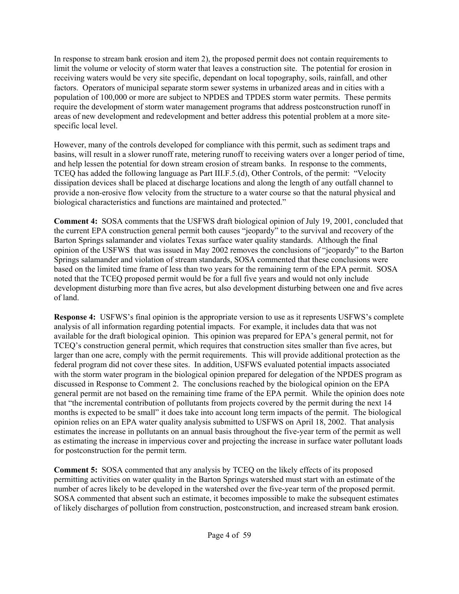In response to stream bank erosion and item 2), the proposed permit does not contain requirements to limit the volume or velocity of storm water that leaves a construction site. The potential for erosion in receiving waters would be very site specific, dependant on local topography, soils, rainfall, and other factors. Operators of municipal separate storm sewer systems in urbanized areas and in cities with a population of 100,000 or more are subject to NPDES and TPDES storm water permits. These permits require the development of storm water management programs that address postconstruction runoff in areas of new development and redevelopment and better address this potential problem at a more sitespecific local level.

However, many of the controls developed for compliance with this permit, such as sediment traps and basins, will result in a slower runoff rate, metering runoff to receiving waters over a longer period of time, and help lessen the potential for down stream erosion of stream banks. In response to the comments, TCEQ has added the following language as Part III.F.5.(d), Other Controls, of the permit: "Velocity dissipation devices shall be placed at discharge locations and along the length of any outfall channel to provide a non-erosive flow velocity from the structure to a water course so that the natural physical and biological characteristics and functions are maintained and protected."

**Comment 4:** SOSA comments that the USFWS draft biological opinion of July 19, 2001, concluded that the current EPA construction general permit both causes "jeopardy" to the survival and recovery of the Barton Springs salamander and violates Texas surface water quality standards. Although the final opinion of the USFWS that was issued in May 2002 removes the conclusions of "jeopardy" to the Barton Springs salamander and violation of stream standards, SOSA commented that these conclusions were based on the limited time frame of less than two years for the remaining term of the EPA permit. SOSA noted that the TCEQ proposed permit would be for a full five years and would not only include development disturbing more than five acres, but also development disturbing between one and five acres of land.

**Response 4:** USFWS's final opinion is the appropriate version to use as it represents USFWS's complete analysis of all information regarding potential impacts. For example, it includes data that was not available for the draft biological opinion. This opinion was prepared for EPA's general permit, not for TCEQ's construction general permit, which requires that construction sites smaller than five acres, but larger than one acre, comply with the permit requirements. This will provide additional protection as the federal program did not cover these sites. In addition, USFWS evaluated potential impacts associated with the storm water program in the biological opinion prepared for delegation of the NPDES program as discussed in Response to Comment 2. The conclusions reached by the biological opinion on the EPA general permit are not based on the remaining time frame of the EPA permit. While the opinion does note that "the incremental contribution of pollutants from projects covered by the permit during the next 14 months is expected to be small" it does take into account long term impacts of the permit. The biological opinion relies on an EPA water quality analysis submitted to USFWS on April 18, 2002. That analysis estimates the increase in pollutants on an annual basis throughout the five-year term of the permit as well as estimating the increase in impervious cover and projecting the increase in surface water pollutant loads for postconstruction for the permit term.

**Comment 5:** SOSA commented that any analysis by TCEQ on the likely effects of its proposed permitting activities on water quality in the Barton Springs watershed must start with an estimate of the number of acres likely to be developed in the watershed over the five-year term of the proposed permit. SOSA commented that absent such an estimate, it becomes impossible to make the subsequent estimates of likely discharges of pollution from construction, postconstruction, and increased stream bank erosion.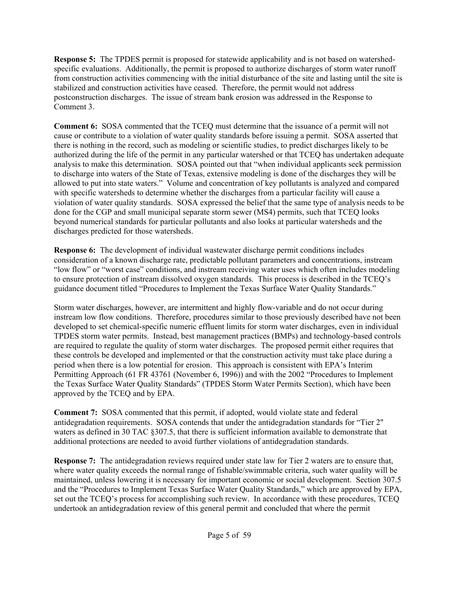**Response 5:** The TPDES permit is proposed for statewide applicability and is not based on watershedspecific evaluations. Additionally, the permit is proposed to authorize discharges of storm water runoff from construction activities commencing with the initial disturbance of the site and lasting until the site is stabilized and construction activities have ceased. Therefore, the permit would not address postconstruction discharges. The issue of stream bank erosion was addressed in the Response to Comment 3.

**Comment 6:** SOSA commented that the TCEQ must determine that the issuance of a permit will not cause or contribute to a violation of water quality standards before issuing a permit. SOSA asserted that there is nothing in the record, such as modeling or scientific studies, to predict discharges likely to be authorized during the life of the permit in any particular watershed or that TCEQ has undertaken adequate analysis to make this determination. SOSA pointed out that "when individual applicants seek permission to discharge into waters of the State of Texas, extensive modeling is done of the discharges they will be allowed to put into state waters." Volume and concentration of key pollutants is analyzed and compared with specific watersheds to determine whether the discharges from a particular facility will cause a violation of water quality standards. SOSA expressed the belief that the same type of analysis needs to be done for the CGP and small municipal separate storm sewer (MS4) permits, such that TCEQ looks beyond numerical standards for particular pollutants and also looks at particular watersheds and the discharges predicted for those watersheds.

**Response 6:** The development of individual wastewater discharge permit conditions includes consideration of a known discharge rate, predictable pollutant parameters and concentrations, instream "low flow" or "worst case" conditions, and instream receiving water uses which often includes modeling to ensure protection of instream dissolved oxygen standards. This process is described in the TCEQ's guidance document titled "Procedures to Implement the Texas Surface Water Quality Standards."

Storm water discharges, however, are intermittent and highly flow-variable and do not occur during instream low flow conditions. Therefore, procedures similar to those previously described have not been developed to set chemical-specific numeric effluent limits for storm water discharges, even in individual TPDES storm water permits. Instead, best management practices (BMPs) and technology-based controls are required to regulate the quality of storm water discharges. The proposed permit either requires that these controls be developed and implemented or that the construction activity must take place during a period when there is a low potential for erosion. This approach is consistent with EPA's Interim Permitting Approach (61 FR 43761 (November 6, 1996)) and with the 2002 "Procedures to Implement the Texas Surface Water Quality Standards" (TPDES Storm Water Permits Section), which have been approved by the TCEQ and by EPA.

**Comment 7:** SOSA commented that this permit, if adopted, would violate state and federal antidegradation requirements. SOSA contends that under the antidegradation standards for "Tier 2" waters as defined in 30 TAC  $\S 307.5$ , that there is sufficient information available to demonstrate that additional protections are needed to avoid further violations of antidegradation standards.

**Response 7:** The antidegradation reviews required under state law for Tier 2 waters are to ensure that, where water quality exceeds the normal range of fishable/swimmable criteria, such water quality will be maintained, unless lowering it is necessary for important economic or social development. Section 307.5 and the "Procedures to Implement Texas Surface Water Quality Standards," which are approved by EPA, set out the TCEQ's process for accomplishing such review. In accordance with these procedures, TCEQ undertook an antidegradation review of this general permit and concluded that where the permit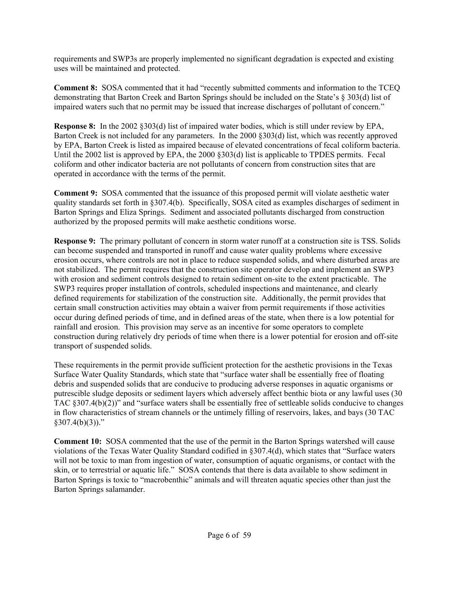requirements and SWP3s are properly implemented no significant degradation is expected and existing uses will be maintained and protected.

**Comment 8:** SOSA commented that it had "recently submitted comments and information to the TCEQ demonstrating that Barton Creek and Barton Springs should be included on the State's § 303(d) list of impaired waters such that no permit may be issued that increase discharges of pollutant of concern."

**Response 8:** In the 2002 §303(d) list of impaired water bodies, which is still under review by EPA, Barton Creek is not included for any parameters. In the 2000 §303(d) list, which was recently approved by EPA, Barton Creek is listed as impaired because of elevated concentrations of fecal coliform bacteria. Until the 2002 list is approved by EPA, the 2000 §303(d) list is applicable to TPDES permits. Fecal coliform and other indicator bacteria are not pollutants of concern from construction sites that are operated in accordance with the terms of the permit.

**Comment 9:** SOSA commented that the issuance of this proposed permit will violate aesthetic water quality standards set forth in §307.4(b). Specifically, SOSA cited as examples discharges of sediment in Barton Springs and Eliza Springs. Sediment and associated pollutants discharged from construction authorized by the proposed permits will make aesthetic conditions worse.

**Response 9:** The primary pollutant of concern in storm water runoff at a construction site is TSS. Solids can become suspended and transported in runoff and cause water quality problems where excessive erosion occurs, where controls are not in place to reduce suspended solids, and where disturbed areas are not stabilized. The permit requires that the construction site operator develop and implement an SWP3 with erosion and sediment controls designed to retain sediment on-site to the extent practicable. The SWP3 requires proper installation of controls, scheduled inspections and maintenance, and clearly defined requirements for stabilization of the construction site. Additionally, the permit provides that certain small construction activities may obtain a waiver from permit requirements if those activities occur during defined periods of time, and in defined areas of the state, when there is a low potential for rainfall and erosion. This provision may serve as an incentive for some operators to complete construction during relatively dry periods of time when there is a lower potential for erosion and off-site transport of suspended solids.

These requirements in the permit provide sufficient protection for the aesthetic provisions in the Texas Surface Water Quality Standards, which state that "surface water shall be essentially free of floating debris and suspended solids that are conducive to producing adverse responses in aquatic organisms or putrescible sludge deposits or sediment layers which adversely affect benthic biota or any lawful uses (30 TAC §307.4(b)(2))" and "surface waters shall be essentially free of settleable solids conducive to changes in flow characteristics of stream channels or the untimely filling of reservoirs, lakes, and bays (30 TAC  $$307.4(b)(3))$ ."

**Comment 10:** SOSA commented that the use of the permit in the Barton Springs watershed will cause violations of the Texas Water Quality Standard codified in §307.4(d), which states that "Surface waters will not be toxic to man from ingestion of water, consumption of aquatic organisms, or contact with the skin, or to terrestrial or aquatic life." SOSA contends that there is data available to show sediment in Barton Springs is toxic to "macrobenthic" animals and will threaten aquatic species other than just the Barton Springs salamander.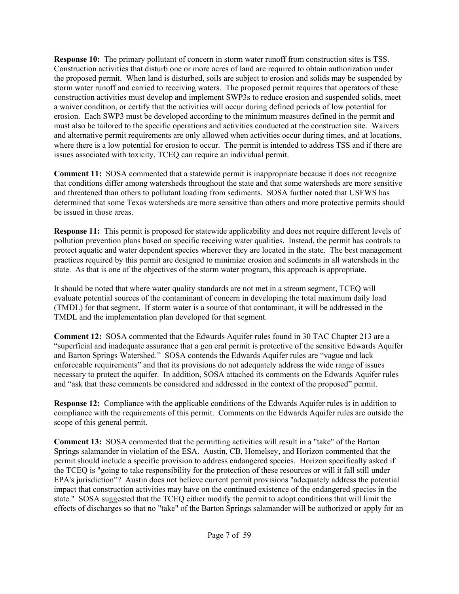**Response 10:** The primary pollutant of concern in storm water runoff from construction sites is TSS. Construction activities that disturb one or more acres of land are required to obtain authorization under the proposed permit. When land is disturbed, soils are subject to erosion and solids may be suspended by storm water runoff and carried to receiving waters. The proposed permit requires that operators of these construction activities must develop and implement SWP3s to reduce erosion and suspended solids, meet a waiver condition, or certify that the activities will occur during defined periods of low potential for erosion. Each SWP3 must be developed according to the minimum measures defined in the permit and must also be tailored to the specific operations and activities conducted at the construction site. Waivers and alternative permit requirements are only allowed when activities occur during times, and at locations, where there is a low potential for erosion to occur. The permit is intended to address TSS and if there are issues associated with toxicity, TCEQ can require an individual permit.

**Comment 11:** SOSA commented that a statewide permit is inappropriate because it does not recognize that conditions differ among watersheds throughout the state and that some watersheds are more sensitive and threatened than others to pollutant loading from sediments. SOSA further noted that USFWS has determined that some Texas watersheds are more sensitive than others and more protective permits should be issued in those areas.

**Response 11:** This permit is proposed for statewide applicability and does not require different levels of pollution prevention plans based on specific receiving water qualities. Instead, the permit has controls to protect aquatic and water dependent species wherever they are located in the state. The best management practices required by this permit are designed to minimize erosion and sediments in all watersheds in the state. As that is one of the objectives of the storm water program, this approach is appropriate.

It should be noted that where water quality standards are not met in a stream segment, TCEQ will evaluate potential sources of the contaminant of concern in developing the total maximum daily load (TMDL) for that segment. If storm water is a source of that contaminant, it will be addressed in the TMDL and the implementation plan developed for that segment.

**Comment 12:** SOSA commented that the Edwards Aquifer rules found in 30 TAC Chapter 213 are a "superficial and inadequate assurance that a gen eral permit is protective of the sensitive Edwards Aquifer and Barton Springs Watershed." SOSA contends the Edwards Aquifer rules are "vague and lack enforceable requirements" and that its provisions do not adequately address the wide range of issues necessary to protect the aquifer. In addition, SOSA attached its comments on the Edwards Aquifer rules and "ask that these comments be considered and addressed in the context of the proposed" permit.

**Response 12:** Compliance with the applicable conditions of the Edwards Aquifer rules is in addition to compliance with the requirements of this permit. Comments on the Edwards Aquifer rules are outside the scope of this general permit.

**Comment 13:** SOSA commented that the permitting activities will result in a "take" of the Barton Springs salamander in violation of the ESA. Austin, CB, Homelsey, and Horizon commented that the permit should include a specific provision to address endangered species. Horizon specifically asked if the TCEQ is "going to take responsibility for the protection of these resources or will it fall still under EPA's jurisdiction"? Austin does not believe current permit provisions "adequately address the potential impact that construction activities may have on the continued existence of the endangered species in the state." SOSA suggested that the TCEQ either modify the permit to adopt conditions that will limit the effects of discharges so that no "take" of the Barton Springs salamander will be authorized or apply for an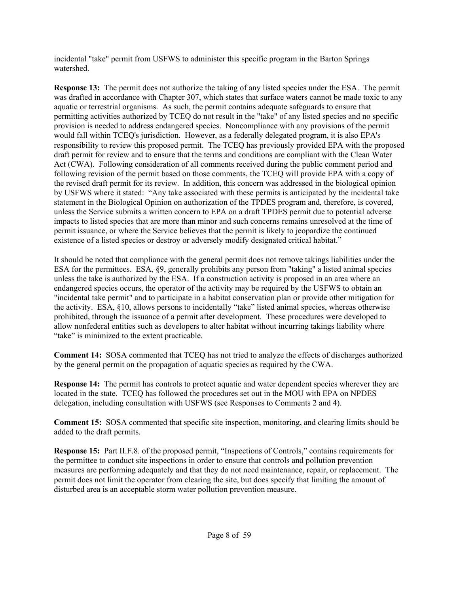incidental "take" permit from USFWS to administer this specific program in the Barton Springs watershed.

**Response 13:** The permit does not authorize the taking of any listed species under the ESA. The permit was drafted in accordance with Chapter 307, which states that surface waters cannot be made toxic to any aquatic or terrestrial organisms. As such, the permit contains adequate safeguards to ensure that permitting activities authorized by TCEQ do not result in the "take" of any listed species and no specific provision is needed to address endangered species. Noncompliance with any provisions of the permit would fall within TCEQ's jurisdiction. However, as a federally delegated program, it is also EPA's responsibility to review this proposed permit. The TCEQ has previously provided EPA with the proposed draft permit for review and to ensure that the terms and conditions are compliant with the Clean Water Act (CWA). Following consideration of all comments received during the public comment period and following revision of the permit based on those comments, the TCEQ will provide EPA with a copy of the revised draft permit for its review. In addition, this concern was addressed in the biological opinion by USFWS where it stated: "Any take associated with these permits is anticipated by the incidental take statement in the Biological Opinion on authorization of the TPDES program and, therefore, is covered, unless the Service submits a written concern to EPA on a draft TPDES permit due to potential adverse impacts to listed species that are more than minor and such concerns remains unresolved at the time of permit issuance, or where the Service believes that the permit is likely to jeopardize the continued existence of a listed species or destroy or adversely modify designated critical habitat."

It should be noted that compliance with the general permit does not remove takings liabilities under the ESA for the permittees. ESA, §9, generally prohibits any person from "taking" a listed animal species unless the take is authorized by the ESA. If a construction activity is proposed in an area where an endangered species occurs, the operator of the activity may be required by the USFWS to obtain an "incidental take permit" and to participate in a habitat conservation plan or provide other mitigation for the activity. ESA, §10, allows persons to incidentally "take" listed animal species, whereas otherwise prohibited, through the issuance of a permit after development. These procedures were developed to allow nonfederal entities such as developers to alter habitat without incurring takings liability where "take" is minimized to the extent practicable.

**Comment 14:** SOSA commented that TCEQ has not tried to analyze the effects of discharges authorized by the general permit on the propagation of aquatic species as required by the CWA.

**Response 14:** The permit has controls to protect aquatic and water dependent species wherever they are located in the state. TCEQ has followed the procedures set out in the MOU with EPA on NPDES delegation, including consultation with USFWS (see Responses to Comments 2 and 4).

**Comment 15:** SOSA commented that specific site inspection, monitoring, and clearing limits should be added to the draft permits.

**Response 15:** Part II.F.8. of the proposed permit, "Inspections of Controls," contains requirements for the permittee to conduct site inspections in order to ensure that controls and pollution prevention measures are performing adequately and that they do not need maintenance, repair, or replacement. The permit does not limit the operator from clearing the site, but does specify that limiting the amount of disturbed area is an acceptable storm water pollution prevention measure.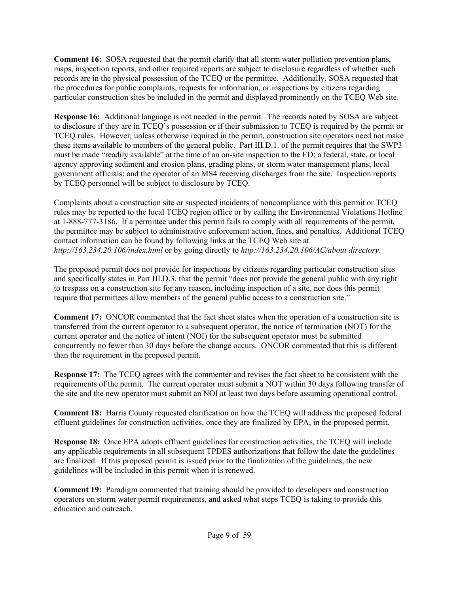**Comment 16:** SOSA requested that the permit clarify that all storm water pollution prevention plans, maps, inspection reports, and other required reports are subject to disclosure regardless of whether such records are in the physical possession of the TCEQ or the permittee. Additionally, SOSA requested that the procedures for public complaints, requests for information, or inspections by citizens regarding particular construction sites be included in the permit and displayed prominently on the TCEQ Web site.

**Response 16:** Additional language is not needed in the permit. The records noted by SOSA are subject to disclosure if they are in TCEQ's possession or if their submission to TCEQ is required by the permit or TCEQ rules. However, unless otherwise required in the permit, construction site operators need not make these items available to members of the general public. Part III.D.1. of the permit requires that the SWP3 must be made "readily available" at the time of an on-site inspection to the ED; a federal, state, or local agency approving sediment and erosion plans, grading plans, or storm water management plans; local government officials; and the operator of an MS4 receiving discharges from the site. Inspection reports by TCEQ personnel will be subject to disclosure by TCEQ.

Complaints about a construction site or suspected incidents of noncompliance with this permit or TCEQ rules may be reported to the local TCEQ region office or by calling the Environmental Violations Hotline at 1-888-777-3186. If a permittee under this permit fails to comply with all requirements of the permit, the permittee may be subject to administrative enforcement action, fines, and penalties. Additional TCEQ contact information can be found by following links at the TCEQ Web site at *http://163.234.20.106/index.html* or by going directly to *http://163.234.20.106/AC/about directory*.

The proposed permit does not provide for inspections by citizens regarding particular construction sites and specifically states in Part III.D.3. that the permit "does not provide the general public with any right to trespass on a construction site for any reason, including inspection of a site, nor does this permit require that permittees allow members of the general public access to a construction site."

**Comment 17:** ONCOR commented that the fact sheet states when the operation of a construction site is transferred from the current operator to a subsequent operator, the notice of termination (NOT) for the current operator and the notice of intent (NOI) for the subsequent operator must be submitted concurrently no fewer than 30 days before the change occurs. ONCOR commented that this is different than the requirement in the proposed permit.

**Response 17:** The TCEQ agrees with the commenter and revises the fact sheet to be consistent with the requirements of the permit. The current operator must submit a NOT within 30 days following transfer of the site and the new operator must submit an NOI at least two days before assuming operational control.

**Comment 18:** Harris County requested clarification on how the TCEQ will address the proposed federal effluent guidelines for construction activities, once they are finalized by EPA, in the proposed permit.

**Response 18:** Once EPA adopts effluent guidelines for construction activities, the TCEQ will include any applicable requirements in all subsequent TPDES authorizations that follow the date the guidelines are finalized. If this proposed permit is issued prior to the finalization of the guidelines, the new guidelines will be included in this permit when it is renewed.

**Comment 19:** Paradigm commented that training should be provided to developers and construction operators on storm water permit requirements, and asked what steps TCEQ is taking to provide this education and outreach.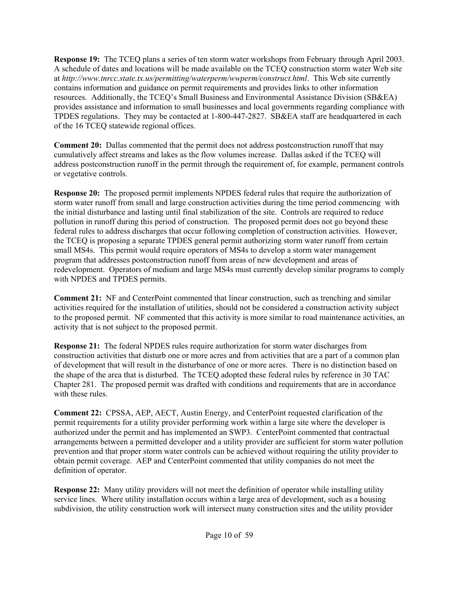**Response 19:** The TCEQ plans a series of ten storm water workshops from February through April 2003. A schedule of dates and locations will be made available on the TCEQ construction storm water Web site at *http://www.tnrcc.state.tx.us/permitting/waterperm/wwperm/construct.html*. This Web site currently contains information and guidance on permit requirements and provides links to other information resources. Additionally, the TCEQ's Small Business and Environmental Assistance Division (SB&EA) provides assistance and information to small businesses and local governments regarding compliance with TPDES regulations. They may be contacted at 1-800-447-2827. SB&EA staff are headquartered in each of the 16 TCEQ statewide regional offices.

**Comment 20:** Dallas commented that the permit does not address postconstruction runoff that may cumulatively affect streams and lakes as the flow volumes increase. Dallas asked if the TCEQ will address postconstruction runoff in the permit through the requirement of, for example, permanent controls or vegetative controls.

**Response 20:** The proposed permit implements NPDES federal rules that require the authorization of storm water runoff from small and large construction activities during the time period commencing with the initial disturbance and lasting until final stabilization of the site. Controls are required to reduce pollution in runoff during this period of construction. The proposed permit does not go beyond these federal rules to address discharges that occur following completion of construction activities. However, the TCEQ is proposing a separate TPDES general permit authorizing storm water runoff from certain small MS4s. This permit would require operators of MS4s to develop a storm water management program that addresses postconstruction runoff from areas of new development and areas of redevelopment. Operators of medium and large MS4s must currently develop similar programs to comply with NPDES and TPDES permits.

**Comment 21:** NF and CenterPoint commented that linear construction, such as trenching and similar activities required for the installation of utilities, should not be considered a construction activity subject to the proposed permit. NF commented that this activity is more similar to road maintenance activities, an activity that is not subject to the proposed permit.

**Response 21:** The federal NPDES rules require authorization for storm water discharges from construction activities that disturb one or more acres and from activities that are a part of a common plan of development that will result in the disturbance of one or more acres. There is no distinction based on the shape of the area that is disturbed. The TCEQ adopted these federal rules by reference in 30 TAC Chapter 281. The proposed permit was drafted with conditions and requirements that are in accordance with these rules.

**Comment 22:** CPSSA, AEP, AECT, Austin Energy, and CenterPoint requested clarification of the permit requirements for a utility provider performing work within a large site where the developer is authorized under the permit and has implemented an SWP3. CenterPoint commented that contractual arrangements between a permitted developer and a utility provider are sufficient for storm water pollution prevention and that proper storm water controls can be achieved without requiring the utility provider to obtain permit coverage. AEP and CenterPoint commented that utility companies do not meet the definition of operator.

**Response 22:** Many utility providers will not meet the definition of operator while installing utility service lines. Where utility installation occurs within a large area of development, such as a housing subdivision, the utility construction work will intersect many construction sites and the utility provider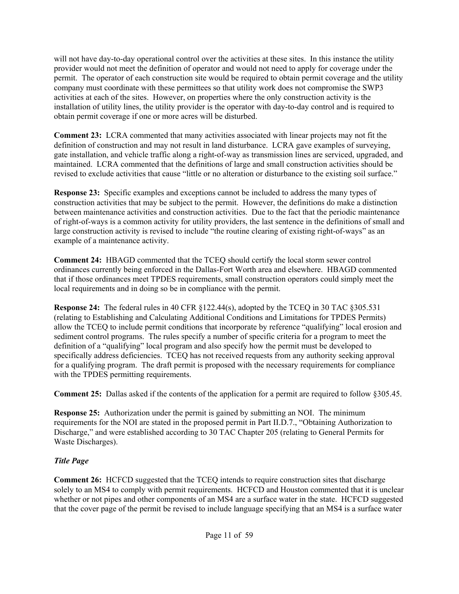will not have day-to-day operational control over the activities at these sites. In this instance the utility provider would not meet the definition of operator and would not need to apply for coverage under the permit. The operator of each construction site would be required to obtain permit coverage and the utility company must coordinate with these permittees so that utility work does not compromise the SWP3 activities at each of the sites. However, on properties where the only construction activity is the installation of utility lines, the utility provider is the operator with day-to-day control and is required to obtain permit coverage if one or more acres will be disturbed.

**Comment 23:** LCRA commented that many activities associated with linear projects may not fit the definition of construction and may not result in land disturbance. LCRA gave examples of surveying, gate installation, and vehicle traffic along a right-of-way as transmission lines are serviced, upgraded, and maintained. LCRA commented that the definitions of large and small construction activities should be revised to exclude activities that cause "little or no alteration or disturbance to the existing soil surface."

**Response 23:** Specific examples and exceptions cannot be included to address the many types of construction activities that may be subject to the permit. However, the definitions do make a distinction between maintenance activities and construction activities. Due to the fact that the periodic maintenance of right-of-ways is a common activity for utility providers, the last sentence in the definitions of small and large construction activity is revised to include "the routine clearing of existing right-of-ways" as an example of a maintenance activity.

**Comment 24:** HBAGD commented that the TCEQ should certify the local storm sewer control ordinances currently being enforced in the Dallas-Fort Worth area and elsewhere. HBAGD commented that if those ordinances meet TPDES requirements, small construction operators could simply meet the local requirements and in doing so be in compliance with the permit.

**Response 24:** The federal rules in 40 CFR §122.44(s), adopted by the TCEQ in 30 TAC §305.531 (relating to Establishing and Calculating Additional Conditions and Limitations for TPDES Permits) allow the TCEQ to include permit conditions that incorporate by reference "qualifying" local erosion and sediment control programs. The rules specify a number of specific criteria for a program to meet the definition of a "qualifying" local program and also specify how the permit must be developed to specifically address deficiencies. TCEQ has not received requests from any authority seeking approval for a qualifying program. The draft permit is proposed with the necessary requirements for compliance with the TPDES permitting requirements.

**Comment 25:** Dallas asked if the contents of the application for a permit are required to follow §305.45.

**Response 25:** Authorization under the permit is gained by submitting an NOI. The minimum requirements for the NOI are stated in the proposed permit in Part II.D.7., "Obtaining Authorization to Discharge," and were established according to 30 TAC Chapter 205 (relating to General Permits for Waste Discharges).

# *Title Page*

**Comment 26:** HCFCD suggested that the TCEQ intends to require construction sites that discharge solely to an MS4 to comply with permit requirements. HCFCD and Houston commented that it is unclear whether or not pipes and other components of an MS4 are a surface water in the state. HCFCD suggested that the cover page of the permit be revised to include language specifying that an MS4 is a surface water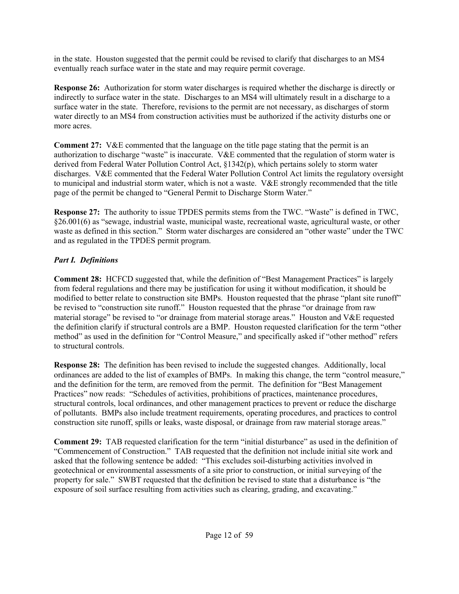in the state. Houston suggested that the permit could be revised to clarify that discharges to an MS4 eventually reach surface water in the state and may require permit coverage.

**Response 26:** Authorization for storm water discharges is required whether the discharge is directly or indirectly to surface water in the state. Discharges to an MS4 will ultimately result in a discharge to a surface water in the state. Therefore, revisions to the permit are not necessary, as discharges of storm water directly to an MS4 from construction activities must be authorized if the activity disturbs one or more acres.

**Comment 27:** V&E commented that the language on the title page stating that the permit is an authorization to discharge "waste" is inaccurate. V&E commented that the regulation of storm water is derived from Federal Water Pollution Control Act, §1342(p), which pertains solely to storm water discharges. V&E commented that the Federal Water Pollution Control Act limits the regulatory oversight to municipal and industrial storm water, which is not a waste. V&E strongly recommended that the title page of the permit be changed to "General Permit to Discharge Storm Water."

**Response 27:** The authority to issue TPDES permits stems from the TWC. "Waste" is defined in TWC, §26.001(6) as "sewage, industrial waste, municipal waste, recreational waste, agricultural waste, or other waste as defined in this section." Storm water discharges are considered an "other waste" under the TWC and as regulated in the TPDES permit program.

## *Part I. Definitions*

**Comment 28:** HCFCD suggested that, while the definition of "Best Management Practices" is largely from federal regulations and there may be justification for using it without modification, it should be modified to better relate to construction site BMPs. Houston requested that the phrase "plant site runoff" be revised to "construction site runoff." Houston requested that the phrase "or drainage from raw material storage" be revised to "or drainage from material storage areas." Houston and V&E requested the definition clarify if structural controls are a BMP. Houston requested clarification for the term "other method" as used in the definition for "Control Measure," and specifically asked if "other method" refers to structural controls.

**Response 28:** The definition has been revised to include the suggested changes. Additionally, local ordinances are added to the list of examples of BMPs. In making this change, the term "control measure," and the definition for the term, are removed from the permit. The definition for "Best Management Practices" now reads: "Schedules of activities, prohibitions of practices, maintenance procedures, structural controls, local ordinances, and other management practices to prevent or reduce the discharge of pollutants. BMPs also include treatment requirements, operating procedures, and practices to control construction site runoff, spills or leaks, waste disposal, or drainage from raw material storage areas."

**Comment 29:** TAB requested clarification for the term "initial disturbance" as used in the definition of "Commencement of Construction." TAB requested that the definition not include initial site work and asked that the following sentence be added: "This excludes soil-disturbing activities involved in geotechnical or environmental assessments of a site prior to construction, or initial surveying of the property for sale." SWBT requested that the definition be revised to state that a disturbance is "the exposure of soil surface resulting from activities such as clearing, grading, and excavating."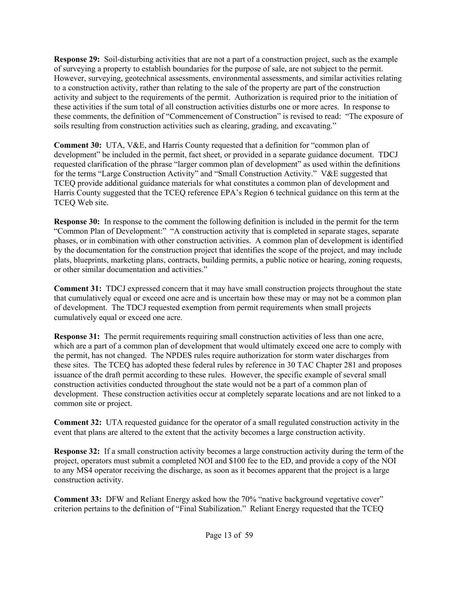**Response 29:** Soil-disturbing activities that are not a part of a construction project, such as the example of surveying a property to establish boundaries for the purpose of sale, are not subject to the permit. However, surveying, geotechnical assessments, environmental assessments, and similar activities relating to a construction activity, rather than relating to the sale of the property are part of the construction activity and subject to the requirements of the permit. Authorization is required prior to the initiation of these activities if the sum total of all construction activities disturbs one or more acres. In response to these comments, the definition of "Commencement of Construction" is revised to read: "The exposure of soils resulting from construction activities such as clearing, grading, and excavating."

**Comment 30:** UTA, V&E, and Harris County requested that a definition for "common plan of development" be included in the permit, fact sheet, or provided in a separate guidance document. TDCJ requested clarification of the phrase "larger common plan of development" as used within the definitions for the terms "Large Construction Activity" and "Small Construction Activity." V&E suggested that TCEQ provide additional guidance materials for what constitutes a common plan of development and Harris County suggested that the TCEQ reference EPA's Region 6 technical guidance on this term at the TCEQ Web site.

**Response 30:** In response to the comment the following definition is included in the permit for the term "Common Plan of Development:" "A construction activity that is completed in separate stages, separate phases, or in combination with other construction activities. A common plan of development is identified by the documentation for the construction project that identifies the scope of the project, and may include plats, blueprints, marketing plans, contracts, building permits, a public notice or hearing, zoning requests, or other similar documentation and activities."

**Comment 31:** TDCJ expressed concern that it may have small construction projects throughout the state that cumulatively equal or exceed one acre and is uncertain how these may or may not be a common plan of development. The TDCJ requested exemption from permit requirements when small projects cumulatively equal or exceed one acre.

**Response 31:** The permit requirements requiring small construction activities of less than one acre, which are a part of a common plan of development that would ultimately exceed one acre to comply with the permit, has not changed. The NPDES rules require authorization for storm water discharges from these sites. The TCEQ has adopted these federal rules by reference in 30 TAC Chapter 281 and proposes issuance of the draft permit according to these rules. However, the specific example of several small construction activities conducted throughout the state would not be a part of a common plan of development. These construction activities occur at completely separate locations and are not linked to a common site or project.

**Comment 32:** UTA requested guidance for the operator of a small regulated construction activity in the event that plans are altered to the extent that the activity becomes a large construction activity.

**Response 32:** If a small construction activity becomes a large construction activity during the term of the project, operators must submit a completed NOI and \$100 fee to the ED, and provide a copy of the NOI to any MS4 operator receiving the discharge, as soon as it becomes apparent that the project is a large construction activity.

**Comment 33:** DFW and Reliant Energy asked how the 70% "native background vegetative cover" criterion pertains to the definition of "Final Stabilization." Reliant Energy requested that the TCEQ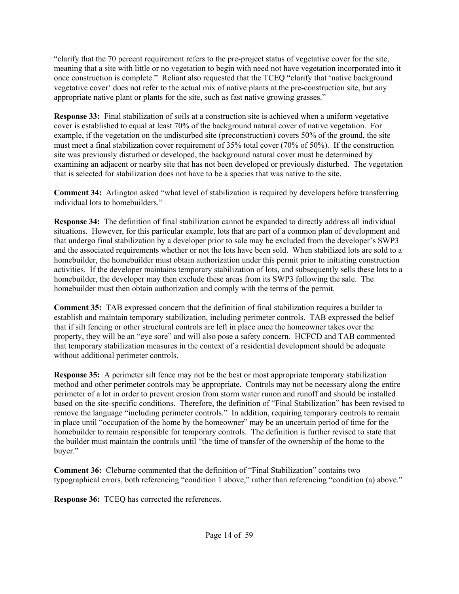"clarify that the 70 percent requirement refers to the pre-project status of vegetative cover for the site, meaning that a site with little or no vegetation to begin with need not have vegetation incorporated into it once construction is complete." Reliant also requested that the TCEQ "clarify that 'native background vegetative cover' does not refer to the actual mix of native plants at the pre-construction site, but any appropriate native plant or plants for the site, such as fast native growing grasses."

**Response 33:** Final stabilization of soils at a construction site is achieved when a uniform vegetative cover is established to equal at least 70% of the background natural cover of native vegetation. For example, if the vegetation on the undisturbed site (preconstruction) covers 50% of the ground, the site must meet a final stabilization cover requirement of 35% total cover (70% of 50%). If the construction site was previously disturbed or developed, the background natural cover must be determined by examining an adjacent or nearby site that has not been developed or previously disturbed. The vegetation that is selected for stabilization does not have to be a species that was native to the site.

**Comment 34:** Arlington asked "what level of stabilization is required by developers before transferring individual lots to homebuilders."

**Response 34:** The definition of final stabilization cannot be expanded to directly address all individual situations. However, for this particular example, lots that are part of a common plan of development and that undergo final stabilization by a developer prior to sale may be excluded from the developer's SWP3 and the associated requirements whether or not the lots have been sold. When stabilized lots are sold to a homebuilder, the homebuilder must obtain authorization under this permit prior to initiating construction activities. If the developer maintains temporary stabilization of lots, and subsequently sells these lots to a homebuilder, the developer may then exclude these areas from its SWP3 following the sale. The homebuilder must then obtain authorization and comply with the terms of the permit.

**Comment 35:** TAB expressed concern that the definition of final stabilization requires a builder to establish and maintain temporary stabilization, including perimeter controls. TAB expressed the belief that if silt fencing or other structural controls are left in place once the homeowner takes over the property, they will be an "eye sore" and will also pose a safety concern. HCFCD and TAB commented that temporary stabilization measures in the context of a residential development should be adequate without additional perimeter controls.

**Response 35:** A perimeter silt fence may not be the best or most appropriate temporary stabilization method and other perimeter controls may be appropriate. Controls may not be necessary along the entire perimeter of a lot in order to prevent erosion from storm water runon and runoff and should be installed based on the site-specific conditions. Therefore, the definition of "Final Stabilization" has been revised to remove the language "including perimeter controls." In addition, requiring temporary controls to remain in place until "occupation of the home by the homeowner" may be an uncertain period of time for the homebuilder to remain responsible for temporary controls. The definition is further revised to state that the builder must maintain the controls until "the time of transfer of the ownership of the home to the buyer."

**Comment 36:** Cleburne commented that the definition of "Final Stabilization" contains two typographical errors, both referencing "condition 1 above," rather than referencing "condition (a) above."

**Response 36:** TCEQ has corrected the references.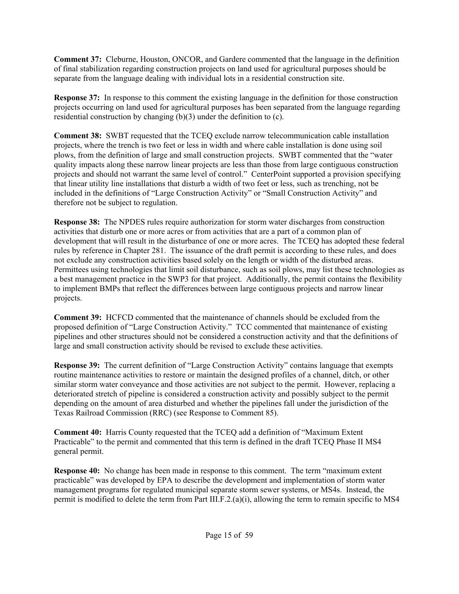**Comment 37:** Cleburne, Houston, ONCOR, and Gardere commented that the language in the definition of final stabilization regarding construction projects on land used for agricultural purposes should be separate from the language dealing with individual lots in a residential construction site.

**Response 37:** In response to this comment the existing language in the definition for those construction projects occurring on land used for agricultural purposes has been separated from the language regarding residential construction by changing  $(b)(3)$  under the definition to  $(c)$ .

**Comment 38:** SWBT requested that the TCEQ exclude narrow telecommunication cable installation projects, where the trench is two feet or less in width and where cable installation is done using soil plows, from the definition of large and small construction projects. SWBT commented that the "water quality impacts along these narrow linear projects are less than those from large contiguous construction projects and should not warrant the same level of control." CenterPoint supported a provision specifying that linear utility line installations that disturb a width of two feet or less, such as trenching, not be included in the definitions of "Large Construction Activity" or "Small Construction Activity" and therefore not be subject to regulation.

**Response 38:** The NPDES rules require authorization for storm water discharges from construction activities that disturb one or more acres or from activities that are a part of a common plan of development that will result in the disturbance of one or more acres. The TCEQ has adopted these federal rules by reference in Chapter 281. The issuance of the draft permit is according to these rules, and does not exclude any construction activities based solely on the length or width of the disturbed areas. Permittees using technologies that limit soil disturbance, such as soil plows, may list these technologies as a best management practice in the SWP3 for that project. Additionally, the permit contains the flexibility to implement BMPs that reflect the differences between large contiguous projects and narrow linear projects.

**Comment 39:** HCFCD commented that the maintenance of channels should be excluded from the proposed definition of "Large Construction Activity." TCC commented that maintenance of existing pipelines and other structures should not be considered a construction activity and that the definitions of large and small construction activity should be revised to exclude these activities.

**Response 39:** The current definition of "Large Construction Activity" contains language that exempts routine maintenance activities to restore or maintain the designed profiles of a channel, ditch, or other similar storm water conveyance and those activities are not subject to the permit. However, replacing a deteriorated stretch of pipeline is considered a construction activity and possibly subject to the permit depending on the amount of area disturbed and whether the pipelines fall under the jurisdiction of the Texas Railroad Commission (RRC) (see Response to Comment 85).

**Comment 40:** Harris County requested that the TCEQ add a definition of "Maximum Extent Practicable" to the permit and commented that this term is defined in the draft TCEQ Phase II MS4 general permit.

**Response 40:** No change has been made in response to this comment. The term "maximum extent practicable" was developed by EPA to describe the development and implementation of storm water management programs for regulated municipal separate storm sewer systems, or MS4s. Instead, the permit is modified to delete the term from Part III.F.2.(a)(i), allowing the term to remain specific to MS4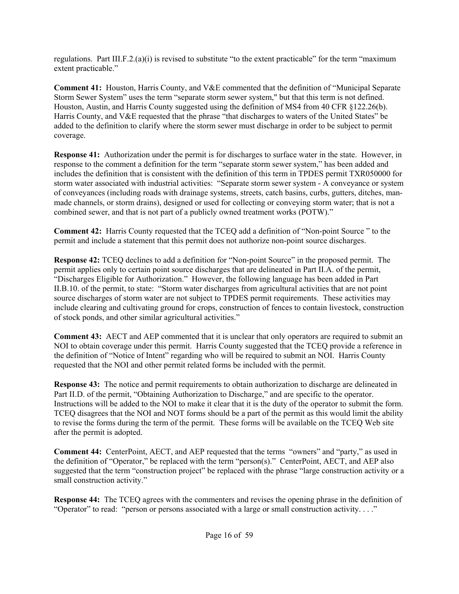regulations. Part III.F.2.(a)(i) is revised to substitute "to the extent practicable" for the term "maximum" extent practicable."

**Comment 41:** Houston, Harris County, and V&E commented that the definition of "Municipal Separate Storm Sewer System" uses the term "separate storm sewer system," but that this term is not defined. Houston, Austin, and Harris County suggested using the definition of MS4 from 40 CFR §122.26(b). Harris County, and V&E requested that the phrase "that discharges to waters of the United States" be added to the definition to clarify where the storm sewer must discharge in order to be subject to permit coverage.

**Response 41:** Authorization under the permit is for discharges to surface water in the state. However, in response to the comment a definition for the term "separate storm sewer system," has been added and includes the definition that is consistent with the definition of this term in TPDES permit TXR050000 for storm water associated with industrial activities: "Separate storm sewer system - A conveyance or system of conveyances (including roads with drainage systems, streets, catch basins, curbs, gutters, ditches, manmade channels, or storm drains), designed or used for collecting or conveying storm water; that is not a combined sewer, and that is not part of a publicly owned treatment works (POTW)."

**Comment 42:** Harris County requested that the TCEQ add a definition of "Non-point Source " to the permit and include a statement that this permit does not authorize non-point source discharges.

**Response 42:** TCEQ declines to add a definition for "Non-point Source" in the proposed permit. The permit applies only to certain point source discharges that are delineated in Part II.A. of the permit, "Discharges Eligible for Authorization." However, the following language has been added in Part II.B.10. of the permit, to state: "Storm water discharges from agricultural activities that are not point source discharges of storm water are not subject to TPDES permit requirements. These activities may include clearing and cultivating ground for crops, construction of fences to contain livestock, construction of stock ponds, and other similar agricultural activities."

**Comment 43:** AECT and AEP commented that it is unclear that only operators are required to submit an NOI to obtain coverage under this permit. Harris County suggested that the TCEQ provide a reference in the definition of "Notice of Intent" regarding who will be required to submit an NOI. Harris County requested that the NOI and other permit related forms be included with the permit.

**Response 43:** The notice and permit requirements to obtain authorization to discharge are delineated in Part II.D. of the permit, "Obtaining Authorization to Discharge," and are specific to the operator. Instructions will be added to the NOI to make it clear that it is the duty of the operator to submit the form. TCEQ disagrees that the NOI and NOT forms should be a part of the permit as this would limit the ability to revise the forms during the term of the permit. These forms will be available on the TCEQ Web site after the permit is adopted.

**Comment 44:** CenterPoint, AECT, and AEP requested that the terms "owners" and "party," as used in the definition of "Operator," be replaced with the term "person(s)." CenterPoint, AECT, and AEP also suggested that the term "construction project" be replaced with the phrase "large construction activity or a small construction activity."

**Response 44:** The TCEQ agrees with the commenters and revises the opening phrase in the definition of "Operator" to read: "person or persons associated with a large or small construction activity. . . ."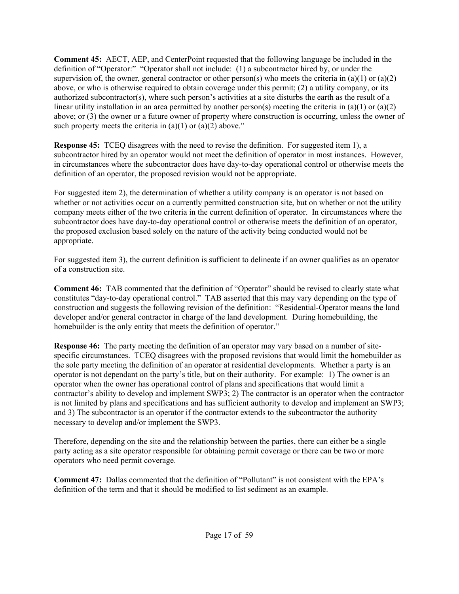**Comment 45:** AECT, AEP, and CenterPoint requested that the following language be included in the definition of "Operator:" "Operator shall not include: (1) a subcontractor hired by, or under the supervision of, the owner, general contractor or other person(s) who meets the criteria in (a)(1) or (a)(2) above, or who is otherwise required to obtain coverage under this permit; (2) a utility company, or its authorized subcontractor(s), where such person's activities at a site disturbs the earth as the result of a linear utility installation in an area permitted by another person(s) meeting the criteria in (a)(1) or (a)(2) above; or (3) the owner or a future owner of property where construction is occurring, unless the owner of such property meets the criteria in  $(a)(1)$  or  $(a)(2)$  above."

**Response 45:** TCEQ disagrees with the need to revise the definition. For suggested item 1), a subcontractor hired by an operator would not meet the definition of operator in most instances. However, in circumstances where the subcontractor does have day-to-day operational control or otherwise meets the definition of an operator, the proposed revision would not be appropriate.

For suggested item 2), the determination of whether a utility company is an operator is not based on whether or not activities occur on a currently permitted construction site, but on whether or not the utility company meets either of the two criteria in the current definition of operator. In circumstances where the subcontractor does have day-to-day operational control or otherwise meets the definition of an operator, the proposed exclusion based solely on the nature of the activity being conducted would not be appropriate.

For suggested item 3), the current definition is sufficient to delineate if an owner qualifies as an operator of a construction site.

**Comment 46:** TAB commented that the definition of "Operator" should be revised to clearly state what constitutes "day-to-day operational control." TAB asserted that this may vary depending on the type of construction and suggests the following revision of the definition: "Residential-Operator means the land developer and/or general contractor in charge of the land development. During homebuilding, the homebuilder is the only entity that meets the definition of operator."

**Response 46:** The party meeting the definition of an operator may vary based on a number of sitespecific circumstances. TCEQ disagrees with the proposed revisions that would limit the homebuilder as the sole party meeting the definition of an operator at residential developments. Whether a party is an operator is not dependant on the party's title, but on their authority. For example: 1) The owner is an operator when the owner has operational control of plans and specifications that would limit a contractor's ability to develop and implement SWP3; 2) The contractor is an operator when the contractor is not limited by plans and specifications and has sufficient authority to develop and implement an SWP3; and 3) The subcontractor is an operator if the contractor extends to the subcontractor the authority necessary to develop and/or implement the SWP3.

Therefore, depending on the site and the relationship between the parties, there can either be a single party acting as a site operator responsible for obtaining permit coverage or there can be two or more operators who need permit coverage.

**Comment 47:** Dallas commented that the definition of "Pollutant" is not consistent with the EPA's definition of the term and that it should be modified to list sediment as an example.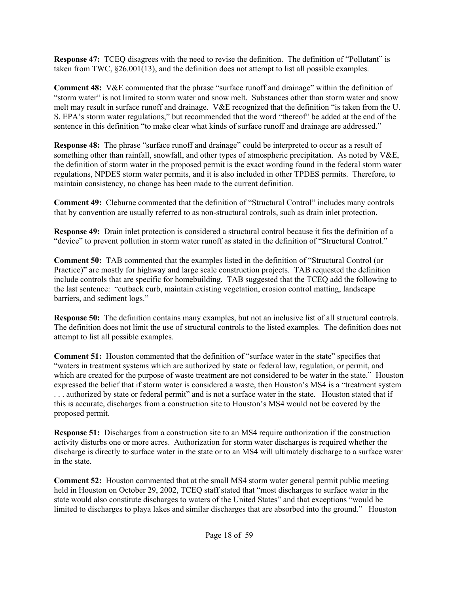**Response 47:** TCEQ disagrees with the need to revise the definition. The definition of "Pollutant" is taken from TWC, §26.001(13), and the definition does not attempt to list all possible examples.

**Comment 48:** V&E commented that the phrase "surface runoff and drainage" within the definition of "storm water" is not limited to storm water and snow melt. Substances other than storm water and snow melt may result in surface runoff and drainage. V&E recognized that the definition "is taken from the U. S. EPA's storm water regulations," but recommended that the word "thereof" be added at the end of the sentence in this definition "to make clear what kinds of surface runoff and drainage are addressed."

**Response 48:** The phrase "surface runoff and drainage" could be interpreted to occur as a result of something other than rainfall, snowfall, and other types of atmospheric precipitation. As noted by V&E, the definition of storm water in the proposed permit is the exact wording found in the federal storm water regulations, NPDES storm water permits, and it is also included in other TPDES permits. Therefore, to maintain consistency, no change has been made to the current definition.

**Comment 49:** Cleburne commented that the definition of "Structural Control" includes many controls that by convention are usually referred to as non-structural controls, such as drain inlet protection.

**Response 49:** Drain inlet protection is considered a structural control because it fits the definition of a "device" to prevent pollution in storm water runoff as stated in the definition of "Structural Control."

**Comment 50:** TAB commented that the examples listed in the definition of "Structural Control (or Practice)" are mostly for highway and large scale construction projects. TAB requested the definition include controls that are specific for homebuilding. TAB suggested that the TCEQ add the following to the last sentence: "cutback curb, maintain existing vegetation, erosion control matting, landscape barriers, and sediment logs."

**Response 50:** The definition contains many examples, but not an inclusive list of all structural controls. The definition does not limit the use of structural controls to the listed examples. The definition does not attempt to list all possible examples.

**Comment 51:** Houston commented that the definition of "surface water in the state" specifies that "waters in treatment systems which are authorized by state or federal law, regulation, or permit, and which are created for the purpose of waste treatment are not considered to be water in the state." Houston expressed the belief that if storm water is considered a waste, then Houston's MS4 is a "treatment system . . . authorized by state or federal permit" and is not a surface water in the state. Houston stated that if this is accurate, discharges from a construction site to Houston's MS4 would not be covered by the proposed permit.

**Response 51:** Discharges from a construction site to an MS4 require authorization if the construction activity disturbs one or more acres. Authorization for storm water discharges is required whether the discharge is directly to surface water in the state or to an MS4 will ultimately discharge to a surface water in the state.

**Comment 52:** Houston commented that at the small MS4 storm water general permit public meeting held in Houston on October 29, 2002, TCEQ staff stated that "most discharges to surface water in the state would also constitute discharges to waters of the United States" and that exceptions "would be limited to discharges to playa lakes and similar discharges that are absorbed into the ground." Houston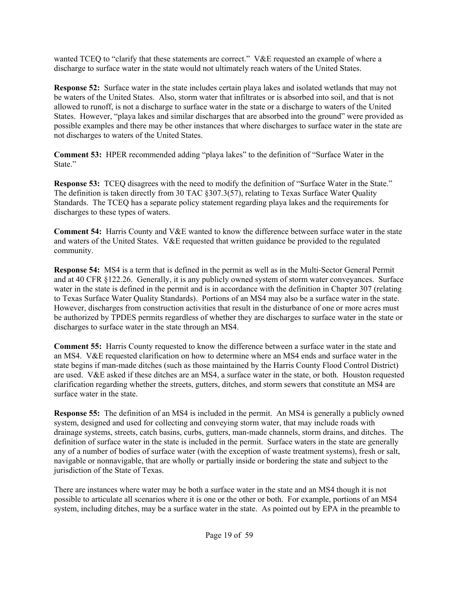wanted TCEQ to "clarify that these statements are correct." V&E requested an example of where a discharge to surface water in the state would not ultimately reach waters of the United States.

**Response 52:** Surface water in the state includes certain playa lakes and isolated wetlands that may not be waters of the United States. Also, storm water that infiltrates or is absorbed into soil, and that is not allowed to runoff, is not a discharge to surface water in the state or a discharge to waters of the United States. However, "playa lakes and similar discharges that are absorbed into the ground" were provided as possible examples and there may be other instances that where discharges to surface water in the state are not discharges to waters of the United States.

**Comment 53:** HPER recommended adding "playa lakes" to the definition of "Surface Water in the State."

**Response 53:** TCEQ disagrees with the need to modify the definition of "Surface Water in the State." The definition is taken directly from 30 TAC §307.3(57), relating to Texas Surface Water Quality Standards. The TCEQ has a separate policy statement regarding playa lakes and the requirements for discharges to these types of waters.

**Comment 54:** Harris County and V&E wanted to know the difference between surface water in the state and waters of the United States. V&E requested that written guidance be provided to the regulated community.

**Response 54:** MS4 is a term that is defined in the permit as well as in the Multi-Sector General Permit and at 40 CFR §122.26. Generally, it is any publicly owned system of storm water conveyances. Surface water in the state is defined in the permit and is in accordance with the definition in Chapter 307 (relating to Texas Surface Water Quality Standards). Portions of an MS4 may also be a surface water in the state. However, discharges from construction activities that result in the disturbance of one or more acres must be authorized by TPDES permits regardless of whether they are discharges to surface water in the state or discharges to surface water in the state through an MS4.

**Comment 55:** Harris County requested to know the difference between a surface water in the state and an MS4. V&E requested clarification on how to determine where an MS4 ends and surface water in the state begins if man-made ditches (such as those maintained by the Harris County Flood Control District) are used. V&E asked if these ditches are an MS4, a surface water in the state, or both. Houston requested clarification regarding whether the streets, gutters, ditches, and storm sewers that constitute an MS4 are surface water in the state.

**Response 55:** The definition of an MS4 is included in the permit. An MS4 is generally a publicly owned system, designed and used for collecting and conveying storm water, that may include roads with drainage systems, streets, catch basins, curbs, gutters, man-made channels, storm drains, and ditches. The definition of surface water in the state is included in the permit. Surface waters in the state are generally any of a number of bodies of surface water (with the exception of waste treatment systems), fresh or salt, navigable or nonnavigable, that are wholly or partially inside or bordering the state and subject to the jurisdiction of the State of Texas.

There are instances where water may be both a surface water in the state and an MS4 though it is not possible to articulate all scenarios where it is one or the other or both. For example, portions of an MS4 system, including ditches, may be a surface water in the state. As pointed out by EPA in the preamble to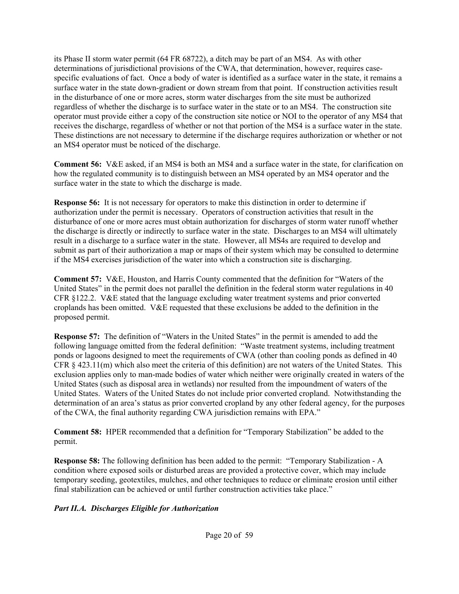its Phase II storm water permit (64 FR 68722), a ditch may be part of an MS4. As with other determinations of jurisdictional provisions of the CWA, that determination, however, requires casespecific evaluations of fact. Once a body of water is identified as a surface water in the state, it remains a surface water in the state down-gradient or down stream from that point. If construction activities result in the disturbance of one or more acres, storm water discharges from the site must be authorized regardless of whether the discharge is to surface water in the state or to an MS4. The construction site operator must provide either a copy of the construction site notice or NOI to the operator of any MS4 that receives the discharge, regardless of whether or not that portion of the MS4 is a surface water in the state. These distinctions are not necessary to determine if the discharge requires authorization or whether or not an MS4 operator must be noticed of the discharge.

**Comment 56:** V&E asked, if an MS4 is both an MS4 and a surface water in the state, for clarification on how the regulated community is to distinguish between an MS4 operated by an MS4 operator and the surface water in the state to which the discharge is made.

**Response 56:** It is not necessary for operators to make this distinction in order to determine if authorization under the permit is necessary. Operators of construction activities that result in the disturbance of one or more acres must obtain authorization for discharges of storm water runoff whether the discharge is directly or indirectly to surface water in the state. Discharges to an MS4 will ultimately result in a discharge to a surface water in the state. However, all MS4s are required to develop and submit as part of their authorization a map or maps of their system which may be consulted to determine if the MS4 exercises jurisdiction of the water into which a construction site is discharging.

**Comment 57:** V&E, Houston, and Harris County commented that the definition for "Waters of the United States" in the permit does not parallel the definition in the federal storm water regulations in 40 CFR §122.2. V&E stated that the language excluding water treatment systems and prior converted croplands has been omitted. V&E requested that these exclusions be added to the definition in the proposed permit.

**Response 57:** The definition of "Waters in the United States" in the permit is amended to add the following language omitted from the federal definition: "Waste treatment systems, including treatment ponds or lagoons designed to meet the requirements of CWA (other than cooling ponds as defined in 40 CFR  $\S$  423.11(m) which also meet the criteria of this definition) are not waters of the United States. This exclusion applies only to man-made bodies of water which neither were originally created in waters of the United States (such as disposal area in wetlands) nor resulted from the impoundment of waters of the United States. Waters of the United States do not include prior converted cropland. Notwithstanding the determination of an area's status as prior converted cropland by any other federal agency, for the purposes of the CWA, the final authority regarding CWA jurisdiction remains with EPA."

**Comment 58:** HPER recommended that a definition for "Temporary Stabilization" be added to the permit.

**Response 58:** The following definition has been added to the permit: "Temporary Stabilization - A condition where exposed soils or disturbed areas are provided a protective cover, which may include temporary seeding, geotextiles, mulches, and other techniques to reduce or eliminate erosion until either final stabilization can be achieved or until further construction activities take place."

#### *Part II.A. Discharges Eligible for Authorization*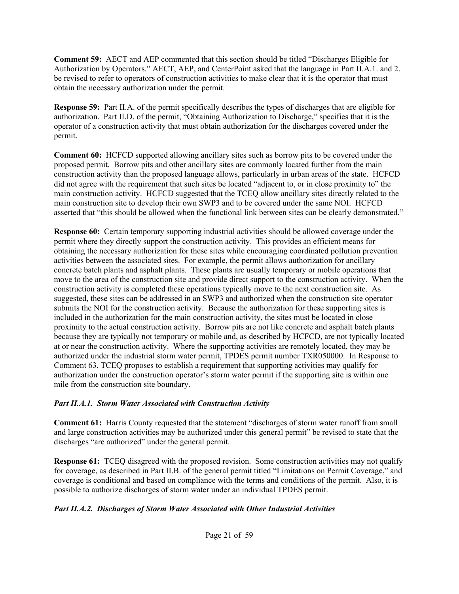**Comment 59:** AECT and AEP commented that this section should be titled "Discharges Eligible for Authorization by Operators." AECT, AEP, and CenterPoint asked that the language in Part II.A.1. and 2. be revised to refer to operators of construction activities to make clear that it is the operator that must obtain the necessary authorization under the permit.

**Response 59:** Part II.A. of the permit specifically describes the types of discharges that are eligible for authorization. Part II.D. of the permit, "Obtaining Authorization to Discharge," specifies that it is the operator of a construction activity that must obtain authorization for the discharges covered under the permit.

**Comment 60:** HCFCD supported allowing ancillary sites such as borrow pits to be covered under the proposed permit. Borrow pits and other ancillary sites are commonly located further from the main construction activity than the proposed language allows, particularly in urban areas of the state. HCFCD did not agree with the requirement that such sites be located "adjacent to, or in close proximity to" the main construction activity. HCFCD suggested that the TCEQ allow ancillary sites directly related to the main construction site to develop their own SWP3 and to be covered under the same NOI. HCFCD asserted that "this should be allowed when the functional link between sites can be clearly demonstrated."

**Response 60:** Certain temporary supporting industrial activities should be allowed coverage under the permit where they directly support the construction activity. This provides an efficient means for obtaining the necessary authorization for these sites while encouraging coordinated pollution prevention activities between the associated sites. For example, the permit allows authorization for ancillary concrete batch plants and asphalt plants. These plants are usually temporary or mobile operations that move to the area of the construction site and provide direct support to the construction activity. When the construction activity is completed these operations typically move to the next construction site. As suggested, these sites can be addressed in an SWP3 and authorized when the construction site operator submits the NOI for the construction activity. Because the authorization for these supporting sites is included in the authorization for the main construction activity, the sites must be located in close proximity to the actual construction activity. Borrow pits are not like concrete and asphalt batch plants because they are typically not temporary or mobile and, as described by HCFCD, are not typically located at or near the construction activity. Where the supporting activities are remotely located, they may be authorized under the industrial storm water permit, TPDES permit number TXR050000. In Response to Comment 63, TCEQ proposes to establish a requirement that supporting activities may qualify for authorization under the construction operator's storm water permit if the supporting site is within one mile from the construction site boundary.

#### *Part II.A.1. Storm Water Associated with Construction Activity*

**Comment 61:** Harris County requested that the statement "discharges of storm water runoff from small and large construction activities may be authorized under this general permit" be revised to state that the discharges "are authorized" under the general permit.

**Response 61:** TCEO disagreed with the proposed revision. Some construction activities may not qualify for coverage, as described in Part II.B. of the general permit titled "Limitations on Permit Coverage," and coverage is conditional and based on compliance with the terms and conditions of the permit. Also, it is possible to authorize discharges of storm water under an individual TPDES permit.

## *Part II.A.2. Discharges of Storm Water Associated with Other Industrial Activities*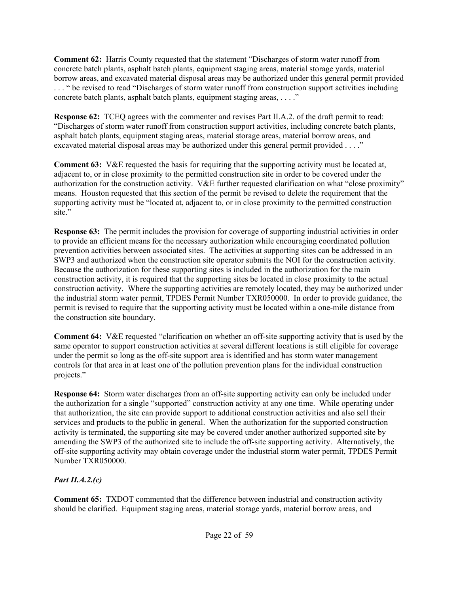**Comment 62:** Harris County requested that the statement "Discharges of storm water runoff from concrete batch plants, asphalt batch plants, equipment staging areas, material storage yards, material borrow areas, and excavated material disposal areas may be authorized under this general permit provided . . . " be revised to read "Discharges of storm water runoff from construction support activities including concrete batch plants, asphalt batch plants, equipment staging areas, . . . ."

**Response 62:** TCEQ agrees with the commenter and revises Part II.A.2. of the draft permit to read: "Discharges of storm water runoff from construction support activities, including concrete batch plants, asphalt batch plants, equipment staging areas, material storage areas, material borrow areas, and excavated material disposal areas may be authorized under this general permit provided . . . ."

**Comment 63:** V&E requested the basis for requiring that the supporting activity must be located at, adjacent to, or in close proximity to the permitted construction site in order to be covered under the authorization for the construction activity. V&E further requested clarification on what "close proximity" means. Houston requested that this section of the permit be revised to delete the requirement that the supporting activity must be "located at, adjacent to, or in close proximity to the permitted construction site."

**Response 63:** The permit includes the provision for coverage of supporting industrial activities in order to provide an efficient means for the necessary authorization while encouraging coordinated pollution prevention activities between associated sites. The activities at supporting sites can be addressed in an SWP3 and authorized when the construction site operator submits the NOI for the construction activity. Because the authorization for these supporting sites is included in the authorization for the main construction activity, it is required that the supporting sites be located in close proximity to the actual construction activity. Where the supporting activities are remotely located, they may be authorized under the industrial storm water permit, TPDES Permit Number TXR050000. In order to provide guidance, the permit is revised to require that the supporting activity must be located within a one-mile distance from the construction site boundary.

**Comment 64:** V&E requested "clarification on whether an off-site supporting activity that is used by the same operator to support construction activities at several different locations is still eligible for coverage under the permit so long as the off-site support area is identified and has storm water management controls for that area in at least one of the pollution prevention plans for the individual construction projects."

**Response 64:** Storm water discharges from an off-site supporting activity can only be included under the authorization for a single "supported" construction activity at any one time. While operating under that authorization, the site can provide support to additional construction activities and also sell their services and products to the public in general. When the authorization for the supported construction activity is terminated, the supporting site may be covered under another authorized supported site by amending the SWP3 of the authorized site to include the off-site supporting activity. Alternatively, the off-site supporting activity may obtain coverage under the industrial storm water permit, TPDES Permit Number TXR050000.

## *Part II.A.2.(c)*

**Comment 65:** TXDOT commented that the difference between industrial and construction activity should be clarified. Equipment staging areas, material storage yards, material borrow areas, and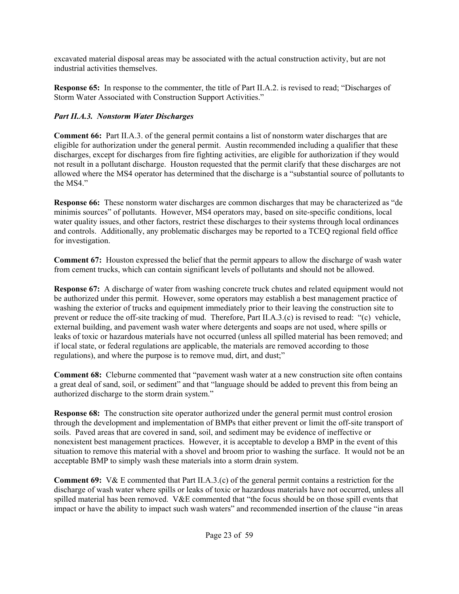excavated material disposal areas may be associated with the actual construction activity, but are not industrial activities themselves.

**Response 65:** In response to the commenter, the title of Part II.A.2. is revised to read; "Discharges of Storm Water Associated with Construction Support Activities."

# *Part II.A.3. Nonstorm Water Discharges*

**Comment 66:** Part II.A.3. of the general permit contains a list of nonstorm water discharges that are eligible for authorization under the general permit. Austin recommended including a qualifier that these discharges, except for discharges from fire fighting activities, are eligible for authorization if they would not result in a pollutant discharge. Houston requested that the permit clarify that these discharges are not allowed where the MS4 operator has determined that the discharge is a "substantial source of pollutants to the MS4"

**Response 66:** These nonstorm water discharges are common discharges that may be characterized as "de minimis sources" of pollutants. However, MS4 operators may, based on site-specific conditions, local water quality issues, and other factors, restrict these discharges to their systems through local ordinances and controls. Additionally, any problematic discharges may be reported to a TCEQ regional field office for investigation.

**Comment 67:** Houston expressed the belief that the permit appears to allow the discharge of wash water from cement trucks, which can contain significant levels of pollutants and should not be allowed.

**Response 67:** A discharge of water from washing concrete truck chutes and related equipment would not be authorized under this permit. However, some operators may establish a best management practice of washing the exterior of trucks and equipment immediately prior to their leaving the construction site to prevent or reduce the off-site tracking of mud. Therefore, Part II.A.3.(c) is revised to read: "(c) vehicle, external building, and pavement wash water where detergents and soaps are not used, where spills or leaks of toxic or hazardous materials have not occurred (unless all spilled material has been removed; and if local state, or federal regulations are applicable, the materials are removed according to those regulations), and where the purpose is to remove mud, dirt, and dust;"

**Comment 68:** Cleburne commented that "pavement wash water at a new construction site often contains a great deal of sand, soil, or sediment" and that "language should be added to prevent this from being an authorized discharge to the storm drain system."

**Response 68:** The construction site operator authorized under the general permit must control erosion through the development and implementation of BMPs that either prevent or limit the off-site transport of soils. Paved areas that are covered in sand, soil, and sediment may be evidence of ineffective or nonexistent best management practices. However, it is acceptable to develop a BMP in the event of this situation to remove this material with a shovel and broom prior to washing the surface. It would not be an acceptable BMP to simply wash these materials into a storm drain system.

**Comment 69:** V& E commented that Part II.A.3.(c) of the general permit contains a restriction for the discharge of wash water where spills or leaks of toxic or hazardous materials have not occurred, unless all spilled material has been removed. V&E commented that "the focus should be on those spill events that impact or have the ability to impact such wash waters" and recommended insertion of the clause "in areas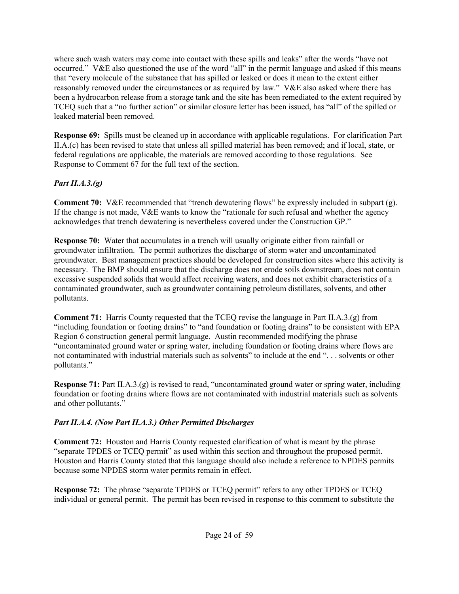where such wash waters may come into contact with these spills and leaks" after the words "have not occurred." V&E also questioned the use of the word "all" in the permit language and asked if this means that "every molecule of the substance that has spilled or leaked or does it mean to the extent either reasonably removed under the circumstances or as required by law." V&E also asked where there has been a hydrocarbon release from a storage tank and the site has been remediated to the extent required by TCEQ such that a "no further action" or similar closure letter has been issued, has "all" of the spilled or leaked material been removed.

**Response 69:** Spills must be cleaned up in accordance with applicable regulations. For clarification Part II.A.(c) has been revised to state that unless all spilled material has been removed; and if local, state, or federal regulations are applicable, the materials are removed according to those regulations. See Response to Comment 67 for the full text of the section.

## *Part II.A.3.(g)*

**Comment 70:** V&E recommended that "trench dewatering flows" be expressly included in subpart (g). If the change is not made, V&E wants to know the "rationale for such refusal and whether the agency acknowledges that trench dewatering is nevertheless covered under the Construction GP."

**Response 70:** Water that accumulates in a trench will usually originate either from rainfall or groundwater infiltration. The permit authorizes the discharge of storm water and uncontaminated groundwater. Best management practices should be developed for construction sites where this activity is necessary. The BMP should ensure that the discharge does not erode soils downstream, does not contain excessive suspended solids that would affect receiving waters, and does not exhibit characteristics of a contaminated groundwater, such as groundwater containing petroleum distillates, solvents, and other pollutants.

**Comment 71:** Harris County requested that the TCEQ revise the language in Part II.A.3.(g) from "including foundation or footing drains" to "and foundation or footing drains" to be consistent with EPA Region 6 construction general permit language. Austin recommended modifying the phrase "uncontaminated ground water or spring water, including foundation or footing drains where flows are not contaminated with industrial materials such as solvents" to include at the end ". . . solvents or other pollutants."

**Response 71:** Part II.A.3.(g) is revised to read, "uncontaminated ground water or spring water, including foundation or footing drains where flows are not contaminated with industrial materials such as solvents and other pollutants."

#### *Part II.A.4. (Now Part II.A.3.) Other Permitted Discharges*

**Comment 72:** Houston and Harris County requested clarification of what is meant by the phrase "separate TPDES or TCEQ permit" as used within this section and throughout the proposed permit. Houston and Harris County stated that this language should also include a reference to NPDES permits because some NPDES storm water permits remain in effect.

**Response 72:** The phrase "separate TPDES or TCEQ permit" refers to any other TPDES or TCEQ individual or general permit. The permit has been revised in response to this comment to substitute the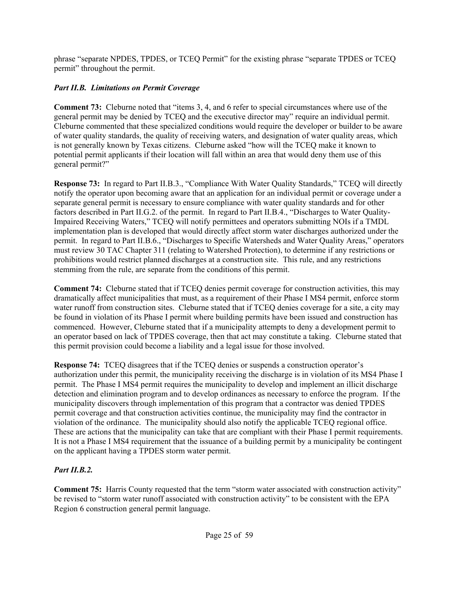phrase "separate NPDES, TPDES, or TCEQ Permit" for the existing phrase "separate TPDES or TCEQ permit" throughout the permit.

# *Part II.B. Limitations on Permit Coverage*

**Comment 73:** Cleburne noted that "items 3, 4, and 6 refer to special circumstances where use of the general permit may be denied by TCEQ and the executive director may" require an individual permit. Cleburne commented that these specialized conditions would require the developer or builder to be aware of water quality standards, the quality of receiving waters, and designation of water quality areas, which is not generally known by Texas citizens. Cleburne asked "how will the TCEQ make it known to potential permit applicants if their location will fall within an area that would deny them use of this general permit?"

**Response 73:** In regard to Part II.B.3., "Compliance With Water Quality Standards," TCEQ will directly notify the operator upon becoming aware that an application for an individual permit or coverage under a separate general permit is necessary to ensure compliance with water quality standards and for other factors described in Part II.G.2. of the permit. In regard to Part II.B.4., "Discharges to Water Quality-Impaired Receiving Waters," TCEQ will notify permittees and operators submitting NOIs if a TMDL implementation plan is developed that would directly affect storm water discharges authorized under the permit. In regard to Part II.B.6., "Discharges to Specific Watersheds and Water Quality Areas," operators must review 30 TAC Chapter 311 (relating to Watershed Protection), to determine if any restrictions or prohibitions would restrict planned discharges at a construction site. This rule, and any restrictions stemming from the rule, are separate from the conditions of this permit.

**Comment 74:** Cleburne stated that if TCEQ denies permit coverage for construction activities, this may dramatically affect municipalities that must, as a requirement of their Phase I MS4 permit, enforce storm water runoff from construction sites. Cleburne stated that if TCEQ denies coverage for a site, a city may be found in violation of its Phase I permit where building permits have been issued and construction has commenced. However, Cleburne stated that if a municipality attempts to deny a development permit to an operator based on lack of TPDES coverage, then that act may constitute a taking. Cleburne stated that this permit provision could become a liability and a legal issue for those involved.

**Response 74:** TCEQ disagrees that if the TCEQ denies or suspends a construction operator's authorization under this permit, the municipality receiving the discharge is in violation of its MS4 Phase I permit. The Phase I MS4 permit requires the municipality to develop and implement an illicit discharge detection and elimination program and to develop ordinances as necessary to enforce the program. If the municipality discovers through implementation of this program that a contractor was denied TPDES permit coverage and that construction activities continue, the municipality may find the contractor in violation of the ordinance. The municipality should also notify the applicable TCEQ regional office. These are actions that the municipality can take that are compliant with their Phase I permit requirements. It is not a Phase I MS4 requirement that the issuance of a building permit by a municipality be contingent on the applicant having a TPDES storm water permit.

# *Part II.B.2.*

**Comment 75:** Harris County requested that the term "storm water associated with construction activity" be revised to "storm water runoff associated with construction activity" to be consistent with the EPA Region 6 construction general permit language.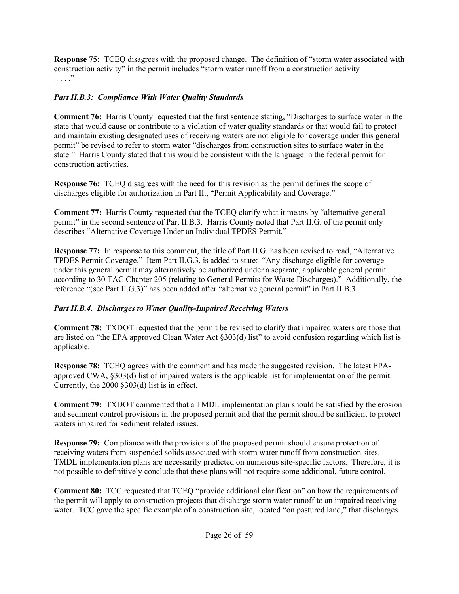**Response 75:** TCEQ disagrees with the proposed change. The definition of "storm water associated with construction activity" in the permit includes "storm water runoff from a construction activity  $\cdot \cdot \cdot$ <sup>"</sup>

### *Part II.B.3: Compliance With Water Quality Standards*

**Comment 76:** Harris County requested that the first sentence stating, "Discharges to surface water in the state that would cause or contribute to a violation of water quality standards or that would fail to protect and maintain existing designated uses of receiving waters are not eligible for coverage under this general permit" be revised to refer to storm water "discharges from construction sites to surface water in the state." Harris County stated that this would be consistent with the language in the federal permit for construction activities.

**Response 76:** TCEQ disagrees with the need for this revision as the permit defines the scope of discharges eligible for authorization in Part II., "Permit Applicability and Coverage."

**Comment 77:** Harris County requested that the TCEQ clarify what it means by "alternative general permit" in the second sentence of Part II.B.3. Harris County noted that Part II.G. of the permit only describes "Alternative Coverage Under an Individual TPDES Permit."

**Response 77:** In response to this comment, the title of Part II.G. has been revised to read, "Alternative TPDES Permit Coverage." Item Part II.G.3, is added to state: "Any discharge eligible for coverage under this general permit may alternatively be authorized under a separate, applicable general permit according to 30 TAC Chapter 205 (relating to General Permits for Waste Discharges)." Additionally, the reference "(see Part II.G.3)" has been added after "alternative general permit" in Part II.B.3.

## *Part II.B.4. Discharges to Water Quality-Impaired Receiving Waters*

**Comment 78:** TXDOT requested that the permit be revised to clarify that impaired waters are those that are listed on "the EPA approved Clean Water Act §303(d) list" to avoid confusion regarding which list is applicable.

**Response 78:** TCEQ agrees with the comment and has made the suggested revision. The latest EPAapproved CWA, §303(d) list of impaired waters is the applicable list for implementation of the permit. Currently, the 2000 §303(d) list is in effect.

**Comment 79:** TXDOT commented that a TMDL implementation plan should be satisfied by the erosion and sediment control provisions in the proposed permit and that the permit should be sufficient to protect waters impaired for sediment related issues.

**Response 79:** Compliance with the provisions of the proposed permit should ensure protection of receiving waters from suspended solids associated with storm water runoff from construction sites. TMDL implementation plans are necessarily predicted on numerous site-specific factors. Therefore, it is not possible to definitively conclude that these plans will not require some additional, future control.

**Comment 80:** TCC requested that TCEQ "provide additional clarification" on how the requirements of the permit will apply to construction projects that discharge storm water runoff to an impaired receiving water. TCC gave the specific example of a construction site, located "on pastured land," that discharges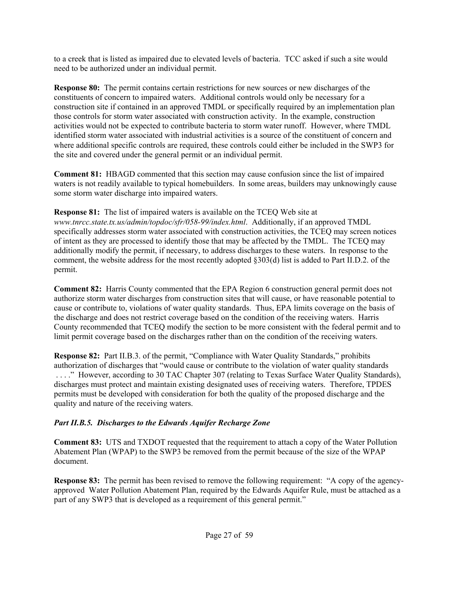to a creek that is listed as impaired due to elevated levels of bacteria. TCC asked if such a site would need to be authorized under an individual permit.

**Response 80:** The permit contains certain restrictions for new sources or new discharges of the constituents of concern to impaired waters. Additional controls would only be necessary for a construction site if contained in an approved TMDL or specifically required by an implementation plan those controls for storm water associated with construction activity. In the example, construction activities would not be expected to contribute bacteria to storm water runoff. However, where TMDL identified storm water associated with industrial activities is a source of the constituent of concern and where additional specific controls are required, these controls could either be included in the SWP3 for the site and covered under the general permit or an individual permit.

**Comment 81:** HBAGD commented that this section may cause confusion since the list of impaired waters is not readily available to typical homebuilders. In some areas, builders may unknowingly cause some storm water discharge into impaired waters.

**Response 81:** The list of impaired waters is available on the TCEQ Web site at *www.tnrcc.state.tx.us/admin/topdoc/sfr/058-99/index.html*. Additionally, if an approved TMDL specifically addresses storm water associated with construction activities, the TCEQ may screen notices of intent as they are processed to identify those that may be affected by the TMDL. The TCEQ may additionally modify the permit, if necessary, to address discharges to these waters. In response to the comment, the website address for the most recently adopted §303(d) list is added to Part II.D.2. of the permit.

**Comment 82:** Harris County commented that the EPA Region 6 construction general permit does not authorize storm water discharges from construction sites that will cause, or have reasonable potential to cause or contribute to, violations of water quality standards. Thus, EPA limits coverage on the basis of the discharge and does not restrict coverage based on the condition of the receiving waters. Harris County recommended that TCEQ modify the section to be more consistent with the federal permit and to limit permit coverage based on the discharges rather than on the condition of the receiving waters.

**Response 82:** Part II.B.3. of the permit, "Compliance with Water Quality Standards," prohibits authorization of discharges that "would cause or contribute to the violation of water quality standards . . . ." However, according to 30 TAC Chapter 307 (relating to Texas Surface Water Quality Standards), discharges must protect and maintain existing designated uses of receiving waters. Therefore, TPDES permits must be developed with consideration for both the quality of the proposed discharge and the quality and nature of the receiving waters.

## *Part II.B.5. Discharges to the Edwards Aquifer Recharge Zone*

**Comment 83:** UTS and TXDOT requested that the requirement to attach a copy of the Water Pollution Abatement Plan (WPAP) to the SWP3 be removed from the permit because of the size of the WPAP document.

**Response 83:** The permit has been revised to remove the following requirement: "A copy of the agencyapproved Water Pollution Abatement Plan, required by the Edwards Aquifer Rule, must be attached as a part of any SWP3 that is developed as a requirement of this general permit."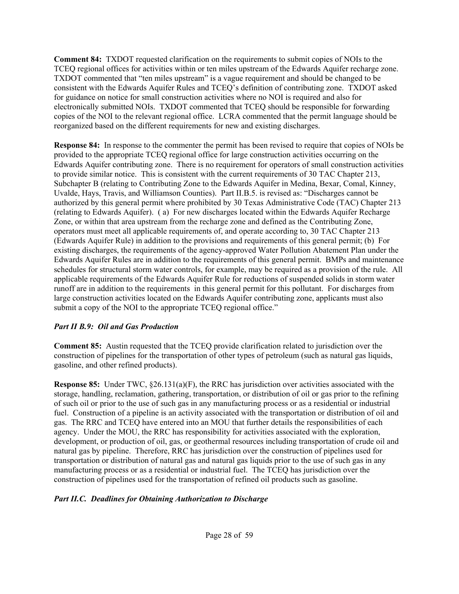**Comment 84:** TXDOT requested clarification on the requirements to submit copies of NOIs to the TCEQ regional offices for activities within or ten miles upstream of the Edwards Aquifer recharge zone. TXDOT commented that "ten miles upstream" is a vague requirement and should be changed to be consistent with the Edwards Aquifer Rules and TCEQ's definition of contributing zone. TXDOT asked for guidance on notice for small construction activities where no NOI is required and also for electronically submitted NOIs. TXDOT commented that TCEQ should be responsible for forwarding copies of the NOI to the relevant regional office. LCRA commented that the permit language should be reorganized based on the different requirements for new and existing discharges.

**Response 84:** In response to the commenter the permit has been revised to require that copies of NOIs be provided to the appropriate TCEQ regional office for large construction activities occurring on the Edwards Aquifer contributing zone. There is no requirement for operators of small construction activities to provide similar notice. This is consistent with the current requirements of 30 TAC Chapter 213, Subchapter B (relating to Contributing Zone to the Edwards Aquifer in Medina, Bexar, Comal, Kinney, Uvalde, Hays, Travis, and Williamson Counties). Part II.B.5. is revised as: "Discharges cannot be authorized by this general permit where prohibited by 30 Texas Administrative Code (TAC) Chapter 213 (relating to Edwards Aquifer). ( a) For new discharges located within the Edwards Aquifer Recharge Zone, or within that area upstream from the recharge zone and defined as the Contributing Zone, operators must meet all applicable requirements of, and operate according to, 30 TAC Chapter 213 (Edwards Aquifer Rule) in addition to the provisions and requirements of this general permit; (b) For existing discharges, the requirements of the agency-approved Water Pollution Abatement Plan under the Edwards Aquifer Rules are in addition to the requirements of this general permit. BMPs and maintenance schedules for structural storm water controls, for example, may be required as a provision of the rule. All applicable requirements of the Edwards Aquifer Rule for reductions of suspended solids in storm water runoff are in addition to the requirements in this general permit for this pollutant. For discharges from large construction activities located on the Edwards Aquifer contributing zone, applicants must also submit a copy of the NOI to the appropriate TCEQ regional office."

#### *Part II B.9: Oil and Gas Production*

**Comment 85:** Austin requested that the TCEQ provide clarification related to jurisdiction over the construction of pipelines for the transportation of other types of petroleum (such as natural gas liquids, gasoline, and other refined products).

**Response 85:** Under TWC, §26.131(a)(F), the RRC has jurisdiction over activities associated with the storage, handling, reclamation, gathering, transportation, or distribution of oil or gas prior to the refining of such oil or prior to the use of such gas in any manufacturing process or as a residential or industrial fuel. Construction of a pipeline is an activity associated with the transportation or distribution of oil and gas. The RRC and TCEQ have entered into an MOU that further details the responsibilities of each agency. Under the MOU, the RRC has responsibility for activities associated with the exploration, development, or production of oil, gas, or geothermal resources including transportation of crude oil and natural gas by pipeline. Therefore, RRC has jurisdiction over the construction of pipelines used for transportation or distribution of natural gas and natural gas liquids prior to the use of such gas in any manufacturing process or as a residential or industrial fuel. The TCEQ has jurisdiction over the construction of pipelines used for the transportation of refined oil products such as gasoline.

## *Part II.C. Deadlines for Obtaining Authorization to Discharge*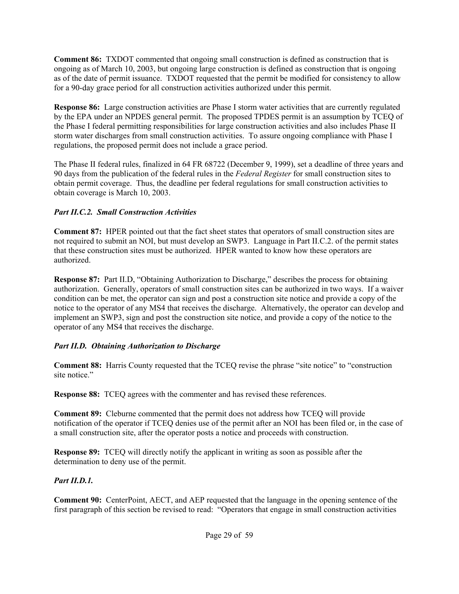**Comment 86:** TXDOT commented that ongoing small construction is defined as construction that is ongoing as of March 10, 2003, but ongoing large construction is defined as construction that is ongoing as of the date of permit issuance. TXDOT requested that the permit be modified for consistency to allow for a 90-day grace period for all construction activities authorized under this permit.

**Response 86:** Large construction activities are Phase I storm water activities that are currently regulated by the EPA under an NPDES general permit. The proposed TPDES permit is an assumption by TCEQ of the Phase I federal permitting responsibilities for large construction activities and also includes Phase II storm water discharges from small construction activities. To assure ongoing compliance with Phase I regulations, the proposed permit does not include a grace period.

The Phase II federal rules, finalized in 64 FR 68722 (December 9, 1999), set a deadline of three years and 90 days from the publication of the federal rules in the *Federal Register* for small construction sites to obtain permit coverage. Thus, the deadline per federal regulations for small construction activities to obtain coverage is March 10, 2003.

## *Part II.C.2. Small Construction Activities*

**Comment 87:** HPER pointed out that the fact sheet states that operators of small construction sites are not required to submit an NOI, but must develop an SWP3. Language in Part II.C.2. of the permit states that these construction sites must be authorized. HPER wanted to know how these operators are authorized.

**Response 87:** Part II.D, "Obtaining Authorization to Discharge," describes the process for obtaining authorization. Generally, operators of small construction sites can be authorized in two ways. If a waiver condition can be met, the operator can sign and post a construction site notice and provide a copy of the notice to the operator of any MS4 that receives the discharge. Alternatively, the operator can develop and implement an SWP3, sign and post the construction site notice, and provide a copy of the notice to the operator of any MS4 that receives the discharge.

## *Part II.D. Obtaining Authorization to Discharge*

**Comment 88:** Harris County requested that the TCEQ revise the phrase "site notice" to "construction site notice."

**Response 88:** TCEQ agrees with the commenter and has revised these references.

**Comment 89:** Cleburne commented that the permit does not address how TCEQ will provide notification of the operator if TCEQ denies use of the permit after an NOI has been filed or, in the case of a small construction site, after the operator posts a notice and proceeds with construction.

**Response 89:** TCEQ will directly notify the applicant in writing as soon as possible after the determination to deny use of the permit.

## *Part II.D.1.*

**Comment 90:** CenterPoint, AECT, and AEP requested that the language in the opening sentence of the first paragraph of this section be revised to read: "Operators that engage in small construction activities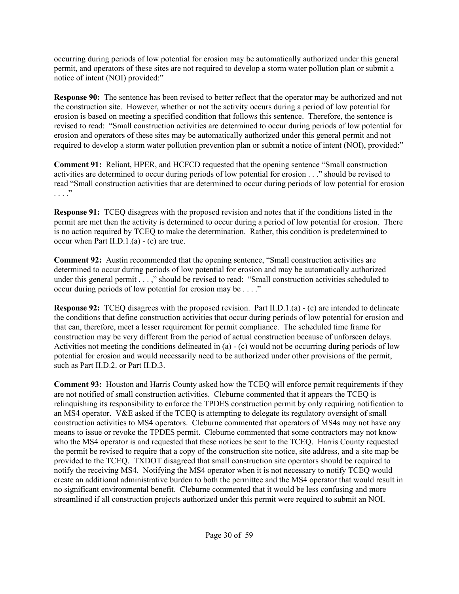occurring during periods of low potential for erosion may be automatically authorized under this general permit, and operators of these sites are not required to develop a storm water pollution plan or submit a notice of intent (NOI) provided:"

**Response 90:** The sentence has been revised to better reflect that the operator may be authorized and not the construction site. However, whether or not the activity occurs during a period of low potential for erosion is based on meeting a specified condition that follows this sentence. Therefore, the sentence is revised to read: "Small construction activities are determined to occur during periods of low potential for erosion and operators of these sites may be automatically authorized under this general permit and not required to develop a storm water pollution prevention plan or submit a notice of intent (NOI), provided:"

**Comment 91:** Reliant, HPER, and HCFCD requested that the opening sentence "Small construction activities are determined to occur during periods of low potential for erosion . . ." should be revised to read "Small construction activities that are determined to occur during periods of low potential for erosion  $\cdot \cdot \cdot$ <sup>"</sup>

**Response 91:** TCEQ disagrees with the proposed revision and notes that if the conditions listed in the permit are met then the activity is determined to occur during a period of low potential for erosion. There is no action required by TCEQ to make the determination. Rather, this condition is predetermined to occur when Part II.D.1.(a) - (c) are true.

**Comment 92:** Austin recommended that the opening sentence, "Small construction activities are determined to occur during periods of low potential for erosion and may be automatically authorized under this general permit . . . ," should be revised to read: "Small construction activities scheduled to occur during periods of low potential for erosion may be . . . ."

**Response 92:** TCEQ disagrees with the proposed revision. Part II.D.1.(a) - (c) are intended to delineate the conditions that define construction activities that occur during periods of low potential for erosion and that can, therefore, meet a lesser requirement for permit compliance. The scheduled time frame for construction may be very different from the period of actual construction because of unforseen delays. Activities not meeting the conditions delineated in (a) - (c) would not be occurring during periods of low potential for erosion and would necessarily need to be authorized under other provisions of the permit, such as Part II.D.2. or Part II.D.3.

**Comment 93:** Houston and Harris County asked how the TCEQ will enforce permit requirements if they are not notified of small construction activities. Cleburne commented that it appears the TCEQ is relinquishing its responsibility to enforce the TPDES construction permit by only requiring notification to an MS4 operator. V&E asked if the TCEQ is attempting to delegate its regulatory oversight of small construction activities to MS4 operators. Cleburne commented that operators of MS4s may not have any means to issue or revoke the TPDES permit. Cleburne commented that some contractors may not know who the MS4 operator is and requested that these notices be sent to the TCEQ. Harris County requested the permit be revised to require that a copy of the construction site notice, site address, and a site map be provided to the TCEQ. TXDOT disagreed that small construction site operators should be required to notify the receiving MS4. Notifying the MS4 operator when it is not necessary to notify TCEQ would create an additional administrative burden to both the permittee and the MS4 operator that would result in no significant environmental benefit. Cleburne commented that it would be less confusing and more streamlined if all construction projects authorized under this permit were required to submit an NOI.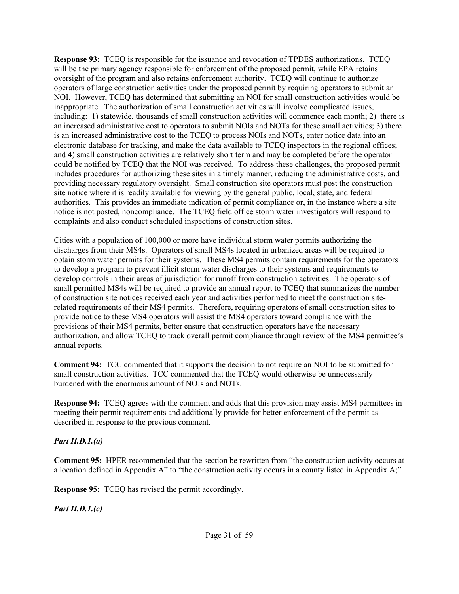**Response 93:** TCEQ is responsible for the issuance and revocation of TPDES authorizations. TCEQ will be the primary agency responsible for enforcement of the proposed permit, while EPA retains oversight of the program and also retains enforcement authority. TCEQ will continue to authorize operators of large construction activities under the proposed permit by requiring operators to submit an NOI. However, TCEQ has determined that submitting an NOI for small construction activities would be inappropriate. The authorization of small construction activities will involve complicated issues, including: 1) statewide, thousands of small construction activities will commence each month; 2) there is an increased administrative cost to operators to submit NOIs and NOTs for these small activities; 3) there is an increased administrative cost to the TCEQ to process NOIs and NOTs, enter notice data into an electronic database for tracking, and make the data available to TCEQ inspectors in the regional offices; and 4) small construction activities are relatively short term and may be completed before the operator could be notified by TCEQ that the NOI was received. To address these challenges, the proposed permit includes procedures for authorizing these sites in a timely manner, reducing the administrative costs, and providing necessary regulatory oversight. Small construction site operators must post the construction site notice where it is readily available for viewing by the general public, local, state, and federal authorities. This provides an immediate indication of permit compliance or, in the instance where a site notice is not posted, noncompliance. The TCEQ field office storm water investigators will respond to complaints and also conduct scheduled inspections of construction sites.

Cities with a population of 100,000 or more have individual storm water permits authorizing the discharges from their MS4s. Operators of small MS4s located in urbanized areas will be required to obtain storm water permits for their systems. These MS4 permits contain requirements for the operators to develop a program to prevent illicit storm water discharges to their systems and requirements to develop controls in their areas of jurisdiction for runoff from construction activities. The operators of small permitted MS4s will be required to provide an annual report to TCEQ that summarizes the number of construction site notices received each year and activities performed to meet the construction siterelated requirements of their MS4 permits. Therefore, requiring operators of small construction sites to provide notice to these MS4 operators will assist the MS4 operators toward compliance with the provisions of their MS4 permits, better ensure that construction operators have the necessary authorization, and allow TCEQ to track overall permit compliance through review of the MS4 permittee's annual reports.

**Comment 94:** TCC commented that it supports the decision to not require an NOI to be submitted for small construction activities. TCC commented that the TCEQ would otherwise be unnecessarily burdened with the enormous amount of NOIs and NOTs.

**Response 94:** TCEQ agrees with the comment and adds that this provision may assist MS4 permittees in meeting their permit requirements and additionally provide for better enforcement of the permit as described in response to the previous comment.

#### *Part II.D.1.(a)*

**Comment 95:** HPER recommended that the section be rewritten from "the construction activity occurs at a location defined in Appendix A" to "the construction activity occurs in a county listed in Appendix A;"

**Response 95:** TCEQ has revised the permit accordingly.

*Part II.D.1.(c)*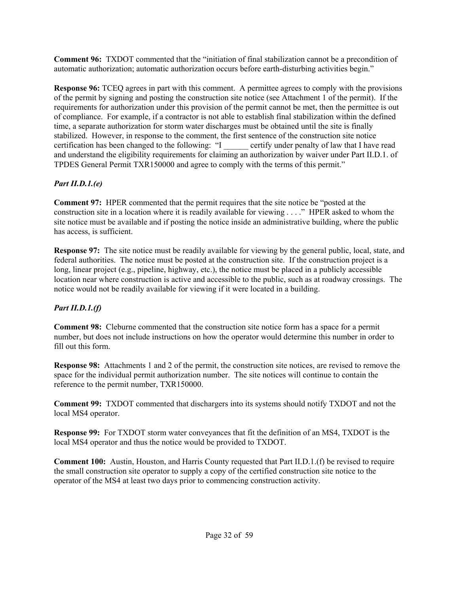**Comment 96:** TXDOT commented that the "initiation of final stabilization cannot be a precondition of automatic authorization; automatic authorization occurs before earth-disturbing activities begin."

**Response 96:** TCEQ agrees in part with this comment. A permittee agrees to comply with the provisions of the permit by signing and posting the construction site notice (see Attachment 1 of the permit). If the requirements for authorization under this provision of the permit cannot be met, then the permittee is out of compliance. For example, if a contractor is not able to establish final stabilization within the defined time, a separate authorization for storm water discharges must be obtained until the site is finally stabilized. However, in response to the comment, the first sentence of the construction site notice certification has been changed to the following: "I certify under penalty of law that I have read and understand the eligibility requirements for claiming an authorization by waiver under Part II.D.1. of TPDES General Permit TXR150000 and agree to comply with the terms of this permit."

# *Part II.D.1.(e)*

**Comment 97:** HPER commented that the permit requires that the site notice be "posted at the construction site in a location where it is readily available for viewing . . . ." HPER asked to whom the site notice must be available and if posting the notice inside an administrative building, where the public has access, is sufficient.

**Response 97:** The site notice must be readily available for viewing by the general public, local, state, and federal authorities. The notice must be posted at the construction site. If the construction project is a long, linear project (e.g., pipeline, highway, etc.), the notice must be placed in a publicly accessible location near where construction is active and accessible to the public, such as at roadway crossings. The notice would not be readily available for viewing if it were located in a building.

# *Part II.D.1.(f)*

**Comment 98:** Cleburne commented that the construction site notice form has a space for a permit number, but does not include instructions on how the operator would determine this number in order to fill out this form.

**Response 98:** Attachments 1 and 2 of the permit, the construction site notices, are revised to remove the space for the individual permit authorization number. The site notices will continue to contain the reference to the permit number, TXR150000.

**Comment 99:** TXDOT commented that dischargers into its systems should notify TXDOT and not the local MS4 operator.

**Response 99:** For TXDOT storm water conveyances that fit the definition of an MS4, TXDOT is the local MS4 operator and thus the notice would be provided to TXDOT.

**Comment 100:** Austin, Houston, and Harris County requested that Part II.D.1.(f) be revised to require the small construction site operator to supply a copy of the certified construction site notice to the operator of the MS4 at least two days prior to commencing construction activity.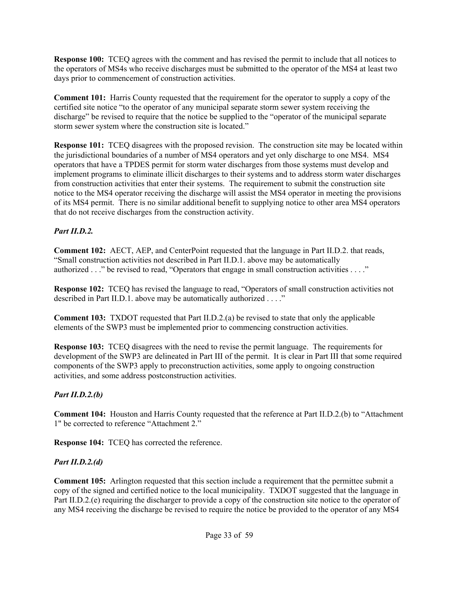**Response 100:** TCEQ agrees with the comment and has revised the permit to include that all notices to the operators of MS4s who receive discharges must be submitted to the operator of the MS4 at least two days prior to commencement of construction activities.

**Comment 101:** Harris County requested that the requirement for the operator to supply a copy of the certified site notice "to the operator of any municipal separate storm sewer system receiving the discharge" be revised to require that the notice be supplied to the "operator of the municipal separate storm sewer system where the construction site is located."

**Response 101:** TCEO disagrees with the proposed revision. The construction site may be located within the jurisdictional boundaries of a number of MS4 operators and yet only discharge to one MS4. MS4 operators that have a TPDES permit for storm water discharges from those systems must develop and implement programs to eliminate illicit discharges to their systems and to address storm water discharges from construction activities that enter their systems. The requirement to submit the construction site notice to the MS4 operator receiving the discharge will assist the MS4 operator in meeting the provisions of its MS4 permit. There is no similar additional benefit to supplying notice to other area MS4 operators that do not receive discharges from the construction activity.

## *Part II.D.2.*

**Comment 102:** AECT, AEP, and CenterPoint requested that the language in Part II.D.2. that reads, "Small construction activities not described in Part II.D.1. above may be automatically authorized . . ." be revised to read, "Operators that engage in small construction activities . . . ."

**Response 102:** TCEQ has revised the language to read, "Operators of small construction activities not described in Part II.D.1. above may be automatically authorized . . . ."

**Comment 103:** TXDOT requested that Part II.D.2.(a) be revised to state that only the applicable elements of the SWP3 must be implemented prior to commencing construction activities.

**Response 103:** TCEQ disagrees with the need to revise the permit language. The requirements for development of the SWP3 are delineated in Part III of the permit. It is clear in Part III that some required components of the SWP3 apply to preconstruction activities, some apply to ongoing construction activities, and some address postconstruction activities.

# *Part II.D.2.(b)*

**Comment 104:** Houston and Harris County requested that the reference at Part II.D.2.(b) to "Attachment 1" be corrected to reference "Attachment 2."

**Response 104:** TCEQ has corrected the reference.

# *Part II.D.2.(d)*

**Comment 105:** Arlington requested that this section include a requirement that the permittee submit a copy of the signed and certified notice to the local municipality. TXDOT suggested that the language in Part II.D.2.(e) requiring the discharger to provide a copy of the construction site notice to the operator of any MS4 receiving the discharge be revised to require the notice be provided to the operator of any MS4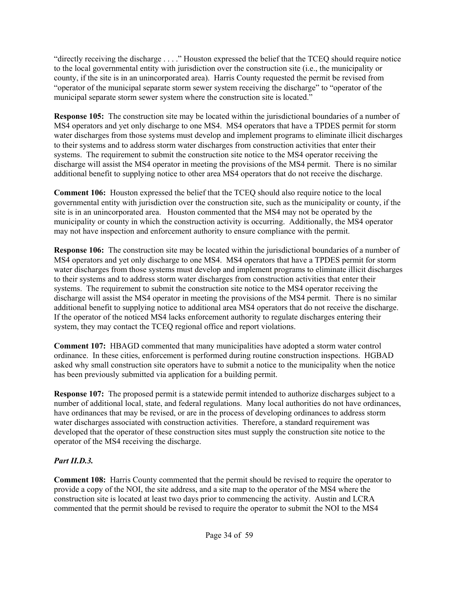"directly receiving the discharge . . . ." Houston expressed the belief that the TCEQ should require notice to the local governmental entity with jurisdiction over the construction site (i.e., the municipality or county, if the site is in an unincorporated area). Harris County requested the permit be revised from "operator of the municipal separate storm sewer system receiving the discharge" to "operator of the municipal separate storm sewer system where the construction site is located."

**Response 105:** The construction site may be located within the jurisdictional boundaries of a number of MS4 operators and yet only discharge to one MS4. MS4 operators that have a TPDES permit for storm water discharges from those systems must develop and implement programs to eliminate illicit discharges to their systems and to address storm water discharges from construction activities that enter their systems. The requirement to submit the construction site notice to the MS4 operator receiving the discharge will assist the MS4 operator in meeting the provisions of the MS4 permit. There is no similar additional benefit to supplying notice to other area MS4 operators that do not receive the discharge.

**Comment 106:** Houston expressed the belief that the TCEQ should also require notice to the local governmental entity with jurisdiction over the construction site, such as the municipality or county, if the site is in an unincorporated area. Houston commented that the MS4 may not be operated by the municipality or county in which the construction activity is occurring. Additionally, the MS4 operator may not have inspection and enforcement authority to ensure compliance with the permit.

**Response 106:** The construction site may be located within the jurisdictional boundaries of a number of MS4 operators and yet only discharge to one MS4. MS4 operators that have a TPDES permit for storm water discharges from those systems must develop and implement programs to eliminate illicit discharges to their systems and to address storm water discharges from construction activities that enter their systems. The requirement to submit the construction site notice to the MS4 operator receiving the discharge will assist the MS4 operator in meeting the provisions of the MS4 permit. There is no similar additional benefit to supplying notice to additional area MS4 operators that do not receive the discharge. If the operator of the noticed MS4 lacks enforcement authority to regulate discharges entering their system, they may contact the TCEQ regional office and report violations.

**Comment 107:** HBAGD commented that many municipalities have adopted a storm water control ordinance. In these cities, enforcement is performed during routine construction inspections. HGBAD asked why small construction site operators have to submit a notice to the municipality when the notice has been previously submitted via application for a building permit.

**Response 107:** The proposed permit is a statewide permit intended to authorize discharges subject to a number of additional local, state, and federal regulations. Many local authorities do not have ordinances, have ordinances that may be revised, or are in the process of developing ordinances to address storm water discharges associated with construction activities. Therefore, a standard requirement was developed that the operator of these construction sites must supply the construction site notice to the operator of the MS4 receiving the discharge.

## *Part II.D.3.*

**Comment 108:** Harris County commented that the permit should be revised to require the operator to provide a copy of the NOI, the site address, and a site map to the operator of the MS4 where the construction site is located at least two days prior to commencing the activity. Austin and LCRA commented that the permit should be revised to require the operator to submit the NOI to the MS4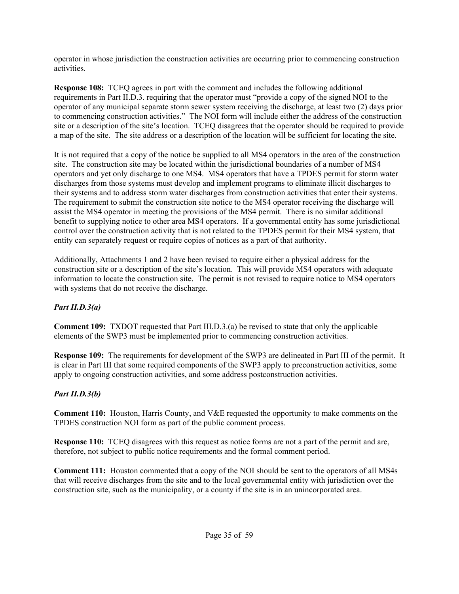operator in whose jurisdiction the construction activities are occurring prior to commencing construction activities.

**Response 108:** TCEQ agrees in part with the comment and includes the following additional requirements in Part II.D.3. requiring that the operator must "provide a copy of the signed NOI to the operator of any municipal separate storm sewer system receiving the discharge, at least two (2) days prior to commencing construction activities." The NOI form will include either the address of the construction site or a description of the site's location. TCEQ disagrees that the operator should be required to provide a map of the site. The site address or a description of the location will be sufficient for locating the site.

It is not required that a copy of the notice be supplied to all MS4 operators in the area of the construction site. The construction site may be located within the jurisdictional boundaries of a number of MS4 operators and yet only discharge to one MS4. MS4 operators that have a TPDES permit for storm water discharges from those systems must develop and implement programs to eliminate illicit discharges to their systems and to address storm water discharges from construction activities that enter their systems. The requirement to submit the construction site notice to the MS4 operator receiving the discharge will assist the MS4 operator in meeting the provisions of the MS4 permit. There is no similar additional benefit to supplying notice to other area MS4 operators. If a governmental entity has some jurisdictional control over the construction activity that is not related to the TPDES permit for their MS4 system, that entity can separately request or require copies of notices as a part of that authority.

Additionally, Attachments 1 and 2 have been revised to require either a physical address for the construction site or a description of the site's location. This will provide MS4 operators with adequate information to locate the construction site. The permit is not revised to require notice to MS4 operators with systems that do not receive the discharge.

## *Part II.D.3(a)*

**Comment 109:** TXDOT requested that Part III.D.3.(a) be revised to state that only the applicable elements of the SWP3 must be implemented prior to commencing construction activities.

**Response 109:** The requirements for development of the SWP3 are delineated in Part III of the permit. It is clear in Part III that some required components of the SWP3 apply to preconstruction activities, some apply to ongoing construction activities, and some address postconstruction activities.

# *Part II.D.3(b)*

**Comment 110:** Houston, Harris County, and V&E requested the opportunity to make comments on the TPDES construction NOI form as part of the public comment process.

**Response 110:** TCEQ disagrees with this request as notice forms are not a part of the permit and are, therefore, not subject to public notice requirements and the formal comment period.

**Comment 111:** Houston commented that a copy of the NOI should be sent to the operators of all MS4s that will receive discharges from the site and to the local governmental entity with jurisdiction over the construction site, such as the municipality, or a county if the site is in an unincorporated area.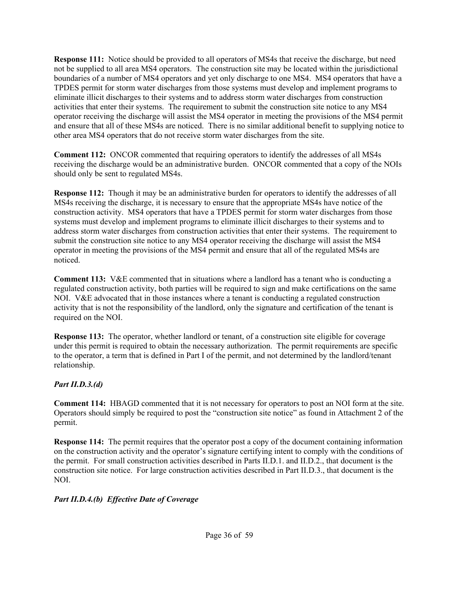**Response 111:** Notice should be provided to all operators of MS4s that receive the discharge, but need not be supplied to all area MS4 operators. The construction site may be located within the jurisdictional boundaries of a number of MS4 operators and yet only discharge to one MS4. MS4 operators that have a TPDES permit for storm water discharges from those systems must develop and implement programs to eliminate illicit discharges to their systems and to address storm water discharges from construction activities that enter their systems. The requirement to submit the construction site notice to any MS4 operator receiving the discharge will assist the MS4 operator in meeting the provisions of the MS4 permit and ensure that all of these MS4s are noticed. There is no similar additional benefit to supplying notice to other area MS4 operators that do not receive storm water discharges from the site.

**Comment 112:** ONCOR commented that requiring operators to identify the addresses of all MS4s receiving the discharge would be an administrative burden. ONCOR commented that a copy of the NOIs should only be sent to regulated MS4s.

**Response 112:** Though it may be an administrative burden for operators to identify the addresses of all MS4s receiving the discharge, it is necessary to ensure that the appropriate MS4s have notice of the construction activity. MS4 operators that have a TPDES permit for storm water discharges from those systems must develop and implement programs to eliminate illicit discharges to their systems and to address storm water discharges from construction activities that enter their systems. The requirement to submit the construction site notice to any MS4 operator receiving the discharge will assist the MS4 operator in meeting the provisions of the MS4 permit and ensure that all of the regulated MS4s are noticed.

**Comment 113:** V&E commented that in situations where a landlord has a tenant who is conducting a regulated construction activity, both parties will be required to sign and make certifications on the same NOI. V&E advocated that in those instances where a tenant is conducting a regulated construction activity that is not the responsibility of the landlord, only the signature and certification of the tenant is required on the NOI.

**Response 113:** The operator, whether landlord or tenant, of a construction site eligible for coverage under this permit is required to obtain the necessary authorization. The permit requirements are specific to the operator, a term that is defined in Part I of the permit, and not determined by the landlord/tenant relationship.

#### *Part II.D.3.(d)*

**Comment 114:** HBAGD commented that it is not necessary for operators to post an NOI form at the site. Operators should simply be required to post the "construction site notice" as found in Attachment 2 of the permit.

**Response 114:** The permit requires that the operator post a copy of the document containing information on the construction activity and the operator's signature certifying intent to comply with the conditions of the permit. For small construction activities described in Parts II.D.1. and II.D.2., that document is the construction site notice. For large construction activities described in Part II.D.3., that document is the NOI.

#### *Part II.D.4.(b) Effective Date of Coverage*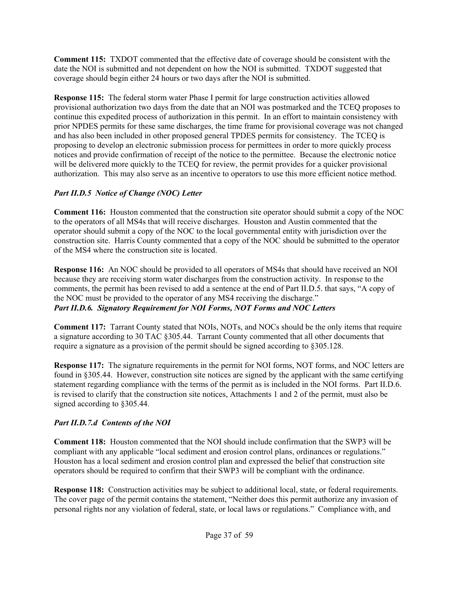**Comment 115:** TXDOT commented that the effective date of coverage should be consistent with the date the NOI is submitted and not dependent on how the NOI is submitted. TXDOT suggested that coverage should begin either 24 hours or two days after the NOI is submitted.

**Response 115:** The federal storm water Phase I permit for large construction activities allowed provisional authorization two days from the date that an NOI was postmarked and the TCEQ proposes to continue this expedited process of authorization in this permit. In an effort to maintain consistency with prior NPDES permits for these same discharges, the time frame for provisional coverage was not changed and has also been included in other proposed general TPDES permits for consistency. The TCEQ is proposing to develop an electronic submission process for permittees in order to more quickly process notices and provide confirmation of receipt of the notice to the permittee. Because the electronic notice will be delivered more quickly to the TCEQ for review, the permit provides for a quicker provisional authorization. This may also serve as an incentive to operators to use this more efficient notice method.

# *Part II.D.5 Notice of Change (NOC) Letter*

**Comment 116:** Houston commented that the construction site operator should submit a copy of the NOC to the operators of all MS4s that will receive discharges. Houston and Austin commented that the operator should submit a copy of the NOC to the local governmental entity with jurisdiction over the construction site. Harris County commented that a copy of the NOC should be submitted to the operator of the MS4 where the construction site is located.

**Response 116:** An NOC should be provided to all operators of MS4s that should have received an NOI because they are receiving storm water discharges from the construction activity. In response to the comments, the permit has been revised to add a sentence at the end of Part II.D.5. that says, "A copy of the NOC must be provided to the operator of any MS4 receiving the discharge." *Part II.D.6. Signatory Requirement for NOI Forms, NOT Forms and NOC Letters*

**Comment 117:** Tarrant County stated that NOIs, NOTs, and NOCs should be the only items that require a signature according to 30 TAC §305.44. Tarrant County commented that all other documents that require a signature as a provision of the permit should be signed according to §305.128.

**Response 117:** The signature requirements in the permit for NOI forms, NOT forms, and NOC letters are found in §305.44. However, construction site notices are signed by the applicant with the same certifying statement regarding compliance with the terms of the permit as is included in the NOI forms. Part II.D.6. is revised to clarify that the construction site notices, Attachments 1 and 2 of the permit, must also be signed according to §305.44.

# *Part II.D.7.d Contents of the NOI*

**Comment 118:** Houston commented that the NOI should include confirmation that the SWP3 will be compliant with any applicable "local sediment and erosion control plans, ordinances or regulations." Houston has a local sediment and erosion control plan and expressed the belief that construction site operators should be required to confirm that their SWP3 will be compliant with the ordinance.

**Response 118:** Construction activities may be subject to additional local, state, or federal requirements. The cover page of the permit contains the statement, "Neither does this permit authorize any invasion of personal rights nor any violation of federal, state, or local laws or regulations." Compliance with, and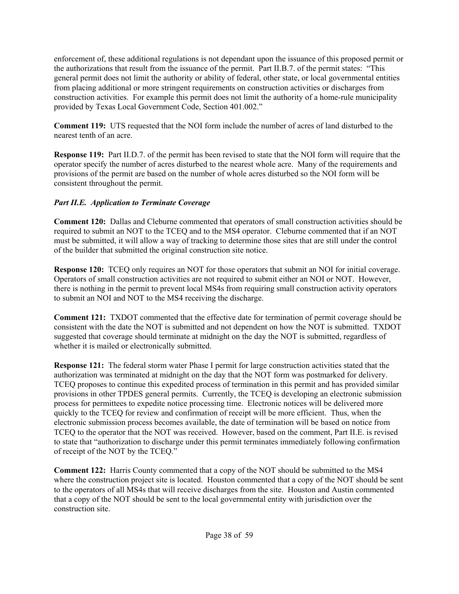enforcement of, these additional regulations is not dependant upon the issuance of this proposed permit or the authorizations that result from the issuance of the permit. Part II.B.7. of the permit states: "This general permit does not limit the authority or ability of federal, other state, or local governmental entities from placing additional or more stringent requirements on construction activities or discharges from construction activities. For example this permit does not limit the authority of a home-rule municipality provided by Texas Local Government Code, Section 401.002."

**Comment 119:** UTS requested that the NOI form include the number of acres of land disturbed to the nearest tenth of an acre.

**Response 119:** Part II.D.7. of the permit has been revised to state that the NOI form will require that the operator specify the number of acres disturbed to the nearest whole acre. Many of the requirements and provisions of the permit are based on the number of whole acres disturbed so the NOI form will be consistent throughout the permit.

## *Part II.E. Application to Terminate Coverage*

**Comment 120:** Dallas and Cleburne commented that operators of small construction activities should be required to submit an NOT to the TCEQ and to the MS4 operator. Cleburne commented that if an NOT must be submitted, it will allow a way of tracking to determine those sites that are still under the control of the builder that submitted the original construction site notice.

**Response 120:** TCEQ only requires an NOT for those operators that submit an NOI for initial coverage. Operators of small construction activities are not required to submit either an NOI or NOT. However, there is nothing in the permit to prevent local MS4s from requiring small construction activity operators to submit an NOI and NOT to the MS4 receiving the discharge.

**Comment 121:** TXDOT commented that the effective date for termination of permit coverage should be consistent with the date the NOT is submitted and not dependent on how the NOT is submitted. TXDOT suggested that coverage should terminate at midnight on the day the NOT is submitted, regardless of whether it is mailed or electronically submitted.

**Response 121:** The federal storm water Phase I permit for large construction activities stated that the authorization was terminated at midnight on the day that the NOT form was postmarked for delivery. TCEQ proposes to continue this expedited process of termination in this permit and has provided similar provisions in other TPDES general permits. Currently, the TCEQ is developing an electronic submission process for permittees to expedite notice processing time. Electronic notices will be delivered more quickly to the TCEQ for review and confirmation of receipt will be more efficient. Thus, when the electronic submission process becomes available, the date of termination will be based on notice from TCEQ to the operator that the NOT was received. However, based on the comment, Part II.E. is revised to state that "authorization to discharge under this permit terminates immediately following confirmation of receipt of the NOT by the TCEQ."

**Comment 122:** Harris County commented that a copy of the NOT should be submitted to the MS4 where the construction project site is located. Houston commented that a copy of the NOT should be sent to the operators of all MS4s that will receive discharges from the site. Houston and Austin commented that a copy of the NOT should be sent to the local governmental entity with jurisdiction over the construction site.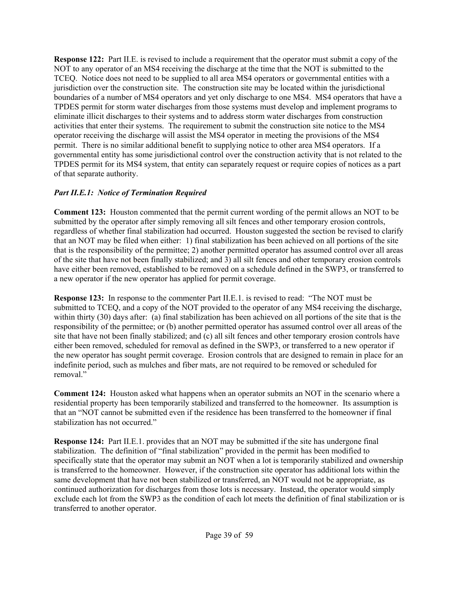**Response 122:** Part II.E. is revised to include a requirement that the operator must submit a copy of the NOT to any operator of an MS4 receiving the discharge at the time that the NOT is submitted to the TCEQ. Notice does not need to be supplied to all area MS4 operators or governmental entities with a jurisdiction over the construction site. The construction site may be located within the jurisdictional boundaries of a number of MS4 operators and yet only discharge to one MS4. MS4 operators that have a TPDES permit for storm water discharges from those systems must develop and implement programs to eliminate illicit discharges to their systems and to address storm water discharges from construction activities that enter their systems. The requirement to submit the construction site notice to the MS4 operator receiving the discharge will assist the MS4 operator in meeting the provisions of the MS4 permit. There is no similar additional benefit to supplying notice to other area MS4 operators. If a governmental entity has some jurisdictional control over the construction activity that is not related to the TPDES permit for its MS4 system, that entity can separately request or require copies of notices as a part of that separate authority.

#### *Part II.E.1: Notice of Termination Required*

**Comment 123:** Houston commented that the permit current wording of the permit allows an NOT to be submitted by the operator after simply removing all silt fences and other temporary erosion controls, regardless of whether final stabilization had occurred. Houston suggested the section be revised to clarify that an NOT may be filed when either: 1) final stabilization has been achieved on all portions of the site that is the responsibility of the permittee; 2) another permitted operator has assumed control over all areas of the site that have not been finally stabilized; and 3) all silt fences and other temporary erosion controls have either been removed, established to be removed on a schedule defined in the SWP3, or transferred to a new operator if the new operator has applied for permit coverage.

**Response 123:** In response to the commenter Part II.E.1. is revised to read: "The NOT must be submitted to TCEQ, and a copy of the NOT provided to the operator of any MS4 receiving the discharge, within thirty (30) days after: (a) final stabilization has been achieved on all portions of the site that is the responsibility of the permittee; or (b) another permitted operator has assumed control over all areas of the site that have not been finally stabilized; and (c) all silt fences and other temporary erosion controls have either been removed, scheduled for removal as defined in the SWP3, or transferred to a new operator if the new operator has sought permit coverage. Erosion controls that are designed to remain in place for an indefinite period, such as mulches and fiber mats, are not required to be removed or scheduled for removal."

**Comment 124:** Houston asked what happens when an operator submits an NOT in the scenario where a residential property has been temporarily stabilized and transferred to the homeowner. Its assumption is that an "NOT cannot be submitted even if the residence has been transferred to the homeowner if final stabilization has not occurred."

**Response 124:** Part II.E.1. provides that an NOT may be submitted if the site has undergone final stabilization. The definition of "final stabilization" provided in the permit has been modified to specifically state that the operator may submit an NOT when a lot is temporarily stabilized and ownership is transferred to the homeowner. However, if the construction site operator has additional lots within the same development that have not been stabilized or transferred, an NOT would not be appropriate, as continued authorization for discharges from those lots is necessary. Instead, the operator would simply exclude each lot from the SWP3 as the condition of each lot meets the definition of final stabilization or is transferred to another operator.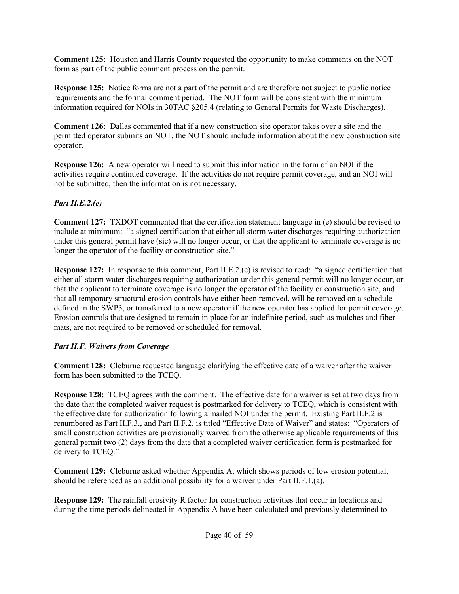**Comment 125:** Houston and Harris County requested the opportunity to make comments on the NOT form as part of the public comment process on the permit.

**Response 125:** Notice forms are not a part of the permit and are therefore not subject to public notice requirements and the formal comment period. The NOT form will be consistent with the minimum information required for NOIs in 30TAC §205.4 (relating to General Permits for Waste Discharges).

**Comment 126:** Dallas commented that if a new construction site operator takes over a site and the permitted operator submits an NOT, the NOT should include information about the new construction site operator.

**Response 126:** A new operator will need to submit this information in the form of an NOI if the activities require continued coverage. If the activities do not require permit coverage, and an NOI will not be submitted, then the information is not necessary.

## *Part II.E.2.(e)*

**Comment 127:** TXDOT commented that the certification statement language in (e) should be revised to include at minimum: "a signed certification that either all storm water discharges requiring authorization under this general permit have (sic) will no longer occur, or that the applicant to terminate coverage is no longer the operator of the facility or construction site."

**Response 127:** In response to this comment, Part II.E.2.(e) is revised to read: "a signed certification that either all storm water discharges requiring authorization under this general permit will no longer occur, or that the applicant to terminate coverage is no longer the operator of the facility or construction site, and that all temporary structural erosion controls have either been removed, will be removed on a schedule defined in the SWP3, or transferred to a new operator if the new operator has applied for permit coverage. Erosion controls that are designed to remain in place for an indefinite period, such as mulches and fiber mats, are not required to be removed or scheduled for removal.

# *Part II.F. Waivers from Coverage*

**Comment 128:** Cleburne requested language clarifying the effective date of a waiver after the waiver form has been submitted to the TCEQ.

**Response 128:** TCEQ agrees with the comment. The effective date for a waiver is set at two days from the date that the completed waiver request is postmarked for delivery to TCEQ, which is consistent with the effective date for authorization following a mailed NOI under the permit. Existing Part II.F.2 is renumbered as Part II.F.3., and Part II.F.2. is titled "Effective Date of Waiver" and states: "Operators of small construction activities are provisionally waived from the otherwise applicable requirements of this general permit two (2) days from the date that a completed waiver certification form is postmarked for delivery to TCEQ."

**Comment 129:** Cleburne asked whether Appendix A, which shows periods of low erosion potential, should be referenced as an additional possibility for a waiver under Part II.F.1.(a).

**Response 129:** The rainfall erosivity R factor for construction activities that occur in locations and during the time periods delineated in Appendix A have been calculated and previously determined to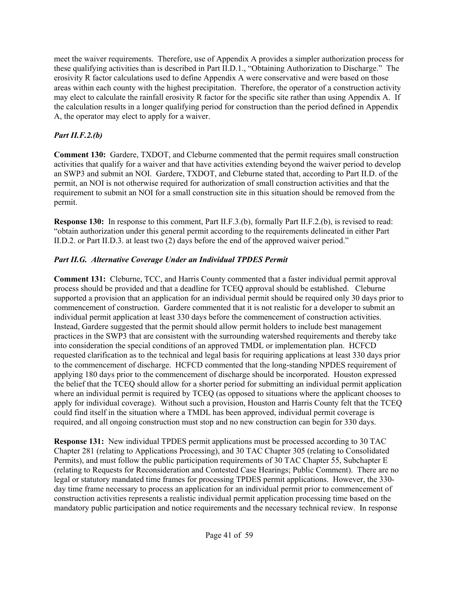meet the waiver requirements. Therefore, use of Appendix A provides a simpler authorization process for these qualifying activities than is described in Part II.D.1., "Obtaining Authorization to Discharge." The erosivity R factor calculations used to define Appendix A were conservative and were based on those areas within each county with the highest precipitation. Therefore, the operator of a construction activity may elect to calculate the rainfall erosivity R factor for the specific site rather than using Appendix A. If the calculation results in a longer qualifying period for construction than the period defined in Appendix A, the operator may elect to apply for a waiver.

# *Part II.F.2.(b)*

**Comment 130:** Gardere, TXDOT, and Cleburne commented that the permit requires small construction activities that qualify for a waiver and that have activities extending beyond the waiver period to develop an SWP3 and submit an NOI. Gardere, TXDOT, and Cleburne stated that, according to Part II.D. of the permit, an NOI is not otherwise required for authorization of small construction activities and that the requirement to submit an NOI for a small construction site in this situation should be removed from the permit.

**Response 130:** In response to this comment, Part II.F.3.(b), formally Part II.F.2.(b), is revised to read: "obtain authorization under this general permit according to the requirements delineated in either Part II.D.2. or Part II.D.3. at least two (2) days before the end of the approved waiver period."

# *Part II.G. Alternative Coverage Under an Individual TPDES Permit*

**Comment 131:** Cleburne, TCC, and Harris County commented that a faster individual permit approval process should be provided and that a deadline for TCEQ approval should be established. Cleburne supported a provision that an application for an individual permit should be required only 30 days prior to commencement of construction. Gardere commented that it is not realistic for a developer to submit an individual permit application at least 330 days before the commencement of construction activities. Instead, Gardere suggested that the permit should allow permit holders to include best management practices in the SWP3 that are consistent with the surrounding watershed requirements and thereby take into consideration the special conditions of an approved TMDL or implementation plan. HCFCD requested clarification as to the technical and legal basis for requiring applications at least 330 days prior to the commencement of discharge. HCFCD commented that the long-standing NPDES requirement of applying 180 days prior to the commencement of discharge should be incorporated. Houston expressed the belief that the TCEQ should allow for a shorter period for submitting an individual permit application where an individual permit is required by TCEO (as opposed to situations where the applicant chooses to apply for individual coverage). Without such a provision, Houston and Harris County felt that the TCEQ could find itself in the situation where a TMDL has been approved, individual permit coverage is required, and all ongoing construction must stop and no new construction can begin for 330 days.

**Response 131:** New individual TPDES permit applications must be processed according to 30 TAC Chapter 281 (relating to Applications Processing), and 30 TAC Chapter 305 (relating to Consolidated Permits), and must follow the public participation requirements of 30 TAC Chapter 55, Subchapter E (relating to Requests for Reconsideration and Contested Case Hearings; Public Comment). There are no legal or statutory mandated time frames for processing TPDES permit applications. However, the 330 day time frame necessary to process an application for an individual permit prior to commencement of construction activities represents a realistic individual permit application processing time based on the mandatory public participation and notice requirements and the necessary technical review. In response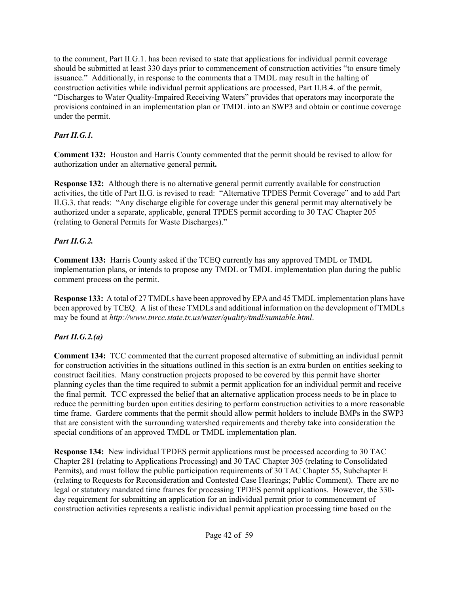to the comment, Part II.G.1. has been revised to state that applications for individual permit coverage should be submitted at least 330 days prior to commencement of construction activities "to ensure timely issuance." Additionally, in response to the comments that a TMDL may result in the halting of construction activities while individual permit applications are processed, Part II.B.4. of the permit, "Discharges to Water Quality-Impaired Receiving Waters" provides that operators may incorporate the provisions contained in an implementation plan or TMDL into an SWP3 and obtain or continue coverage under the permit.

## *Part II.G.1.*

**Comment 132:** Houston and Harris County commented that the permit should be revised to allow for authorization under an alternative general permit**.**

**Response 132:** Although there is no alternative general permit currently available for construction activities, the title of Part II.G. is revised to read: "Alternative TPDES Permit Coverage" and to add Part II.G.3. that reads: "Any discharge eligible for coverage under this general permit may alternatively be authorized under a separate, applicable, general TPDES permit according to 30 TAC Chapter 205 (relating to General Permits for Waste Discharges)."

# *Part II.G.2.*

**Comment 133:** Harris County asked if the TCEQ currently has any approved TMDL or TMDL implementation plans, or intends to propose any TMDL or TMDL implementation plan during the public comment process on the permit.

**Response 133:** A total of 27 TMDLs have been approved by EPA and 45 TMDL implementation plans have been approved by TCEQ. A list of these TMDLs and additional information on the development of TMDLs may be found at *http://www.tnrcc.state.tx.us/water/quality/tmdl/sumtable.html*.

# *Part II.G.2.(a)*

**Comment 134:** TCC commented that the current proposed alternative of submitting an individual permit for construction activities in the situations outlined in this section is an extra burden on entities seeking to construct facilities. Many construction projects proposed to be covered by this permit have shorter planning cycles than the time required to submit a permit application for an individual permit and receive the final permit. TCC expressed the belief that an alternative application process needs to be in place to reduce the permitting burden upon entities desiring to perform construction activities to a more reasonable time frame. Gardere comments that the permit should allow permit holders to include BMPs in the SWP3 that are consistent with the surrounding watershed requirements and thereby take into consideration the special conditions of an approved TMDL or TMDL implementation plan.

**Response 134:** New individual TPDES permit applications must be processed according to 30 TAC Chapter 281 (relating to Applications Processing) and 30 TAC Chapter 305 (relating to Consolidated Permits), and must follow the public participation requirements of 30 TAC Chapter 55, Subchapter E (relating to Requests for Reconsideration and Contested Case Hearings; Public Comment). There are no legal or statutory mandated time frames for processing TPDES permit applications. However, the 330 day requirement for submitting an application for an individual permit prior to commencement of construction activities represents a realistic individual permit application processing time based on the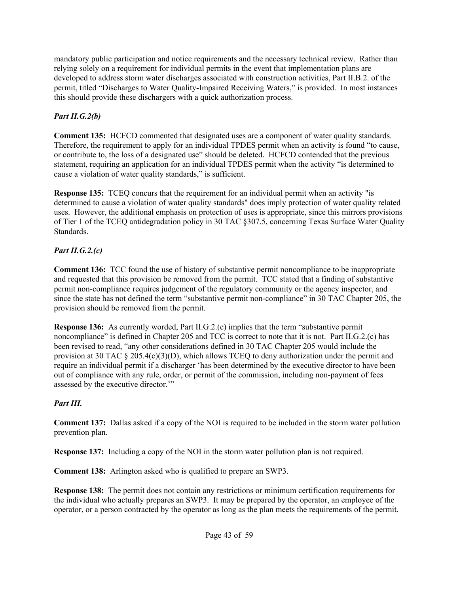mandatory public participation and notice requirements and the necessary technical review. Rather than relying solely on a requirement for individual permits in the event that implementation plans are developed to address storm water discharges associated with construction activities, Part II.B.2. of the permit, titled "Discharges to Water Quality-Impaired Receiving Waters," is provided. In most instances this should provide these dischargers with a quick authorization process.

# *Part II.G.2(b)*

**Comment 135:** HCFCD commented that designated uses are a component of water quality standards. Therefore, the requirement to apply for an individual TPDES permit when an activity is found "to cause, or contribute to, the loss of a designated use" should be deleted. HCFCD contended that the previous statement, requiring an application for an individual TPDES permit when the activity "is determined to cause a violation of water quality standards," is sufficient.

**Response 135:** TCEQ concurs that the requirement for an individual permit when an activity "is determined to cause a violation of water quality standards" does imply protection of water quality related uses. However, the additional emphasis on protection of uses is appropriate, since this mirrors provisions of Tier 1 of the TCEQ antidegradation policy in 30 TAC §307.5, concerning Texas Surface Water Quality Standards.

# *Part II.G.2.(c)*

**Comment 136:** TCC found the use of history of substantive permit noncompliance to be inappropriate and requested that this provision be removed from the permit. TCC stated that a finding of substantive permit non-compliance requires judgement of the regulatory community or the agency inspector, and since the state has not defined the term "substantive permit non-compliance" in 30 TAC Chapter 205, the provision should be removed from the permit.

**Response 136:** As currently worded, Part II.G.2.(c) implies that the term "substantive permit noncompliance" is defined in Chapter 205 and TCC is correct to note that it is not. Part II.G.2.(c) has been revised to read, "any other considerations defined in 30 TAC Chapter 205 would include the provision at 30 TAC § 205.4(c)(3)(D), which allows TCEQ to deny authorization under the permit and require an individual permit if a discharger 'has been determined by the executive director to have been out of compliance with any rule, order, or permit of the commission, including non-payment of fees assessed by the executive director.'"

# *Part III.*

**Comment 137:** Dallas asked if a copy of the NOI is required to be included in the storm water pollution prevention plan.

**Response 137:** Including a copy of the NOI in the storm water pollution plan is not required.

**Comment 138:** Arlington asked who is qualified to prepare an SWP3.

**Response 138:** The permit does not contain any restrictions or minimum certification requirements for the individual who actually prepares an SWP3. It may be prepared by the operator, an employee of the operator, or a person contracted by the operator as long as the plan meets the requirements of the permit.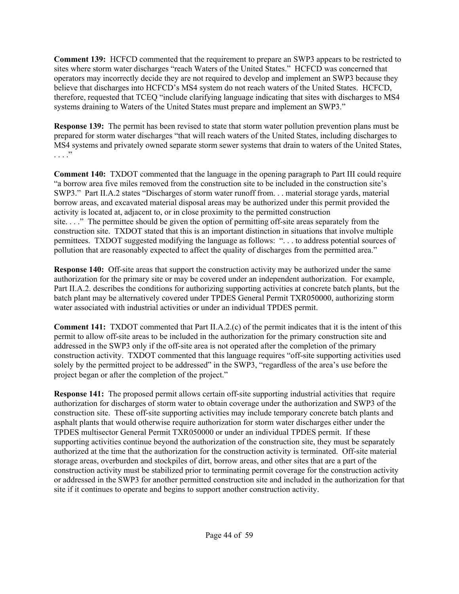**Comment 139:** HCFCD commented that the requirement to prepare an SWP3 appears to be restricted to sites where storm water discharges "reach Waters of the United States." HCFCD was concerned that operators may incorrectly decide they are not required to develop and implement an SWP3 because they believe that discharges into HCFCD's MS4 system do not reach waters of the United States. HCFCD, therefore, requested that TCEQ "include clarifying language indicating that sites with discharges to MS4 systems draining to Waters of the United States must prepare and implement an SWP3."

**Response 139:** The permit has been revised to state that storm water pollution prevention plans must be prepared for storm water discharges "that will reach waters of the United States, including discharges to MS4 systems and privately owned separate storm sewer systems that drain to waters of the United States,  $\cdots$   $\cdots$ 

**Comment 140:** TXDOT commented that the language in the opening paragraph to Part III could require "a borrow area five miles removed from the construction site to be included in the construction site's SWP3." Part II.A.2 states "Discharges of storm water runoff from. . . material storage yards, material borrow areas, and excavated material disposal areas may be authorized under this permit provided the activity is located at, adjacent to, or in close proximity to the permitted construction site. . . ." The permittee should be given the option of permitting off-site areas separately from the construction site. TXDOT stated that this is an important distinction in situations that involve multiple permittees. TXDOT suggested modifying the language as follows: ". . . to address potential sources of pollution that are reasonably expected to affect the quality of discharges from the permitted area."

**Response 140:** Off-site areas that support the construction activity may be authorized under the same authorization for the primary site or may be covered under an independent authorization. For example, Part II.A.2. describes the conditions for authorizing supporting activities at concrete batch plants, but the batch plant may be alternatively covered under TPDES General Permit TXR050000, authorizing storm water associated with industrial activities or under an individual TPDES permit.

**Comment 141:** TXDOT commented that Part II.A.2.(c) of the permit indicates that it is the intent of this permit to allow off-site areas to be included in the authorization for the primary construction site and addressed in the SWP3 only if the off-site area is not operated after the completion of the primary construction activity. TXDOT commented that this language requires "off-site supporting activities used solely by the permitted project to be addressed" in the SWP3, "regardless of the area's use before the project began or after the completion of the project."

**Response 141:** The proposed permit allows certain off-site supporting industrial activities that require authorization for discharges of storm water to obtain coverage under the authorization and SWP3 of the construction site. These off-site supporting activities may include temporary concrete batch plants and asphalt plants that would otherwise require authorization for storm water discharges either under the TPDES multisector General Permit TXR050000 or under an individual TPDES permit. If these supporting activities continue beyond the authorization of the construction site, they must be separately authorized at the time that the authorization for the construction activity is terminated. Off-site material storage areas, overburden and stockpiles of dirt, borrow areas, and other sites that are a part of the construction activity must be stabilized prior to terminating permit coverage for the construction activity or addressed in the SWP3 for another permitted construction site and included in the authorization for that site if it continues to operate and begins to support another construction activity.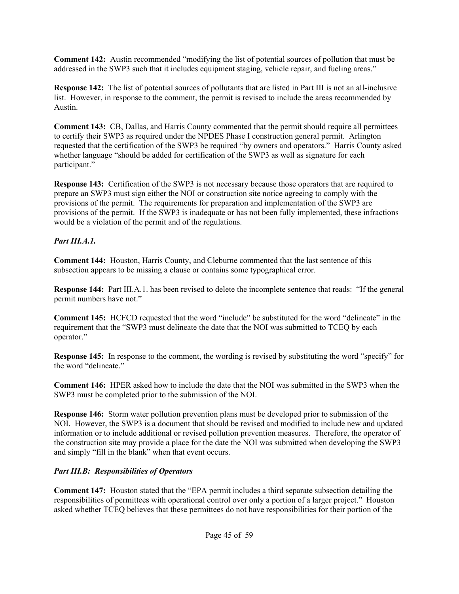**Comment 142:** Austin recommended "modifying the list of potential sources of pollution that must be addressed in the SWP3 such that it includes equipment staging, vehicle repair, and fueling areas."

**Response 142:** The list of potential sources of pollutants that are listed in Part III is not an all-inclusive list. However, in response to the comment, the permit is revised to include the areas recommended by Austin.

**Comment 143:** CB, Dallas, and Harris County commented that the permit should require all permittees to certify their SWP3 as required under the NPDES Phase I construction general permit. Arlington requested that the certification of the SWP3 be required "by owners and operators." Harris County asked whether language "should be added for certification of the SWP3 as well as signature for each participant."

**Response 143:** Certification of the SWP3 is not necessary because those operators that are required to prepare an SWP3 must sign either the NOI or construction site notice agreeing to comply with the provisions of the permit. The requirements for preparation and implementation of the SWP3 are provisions of the permit. If the SWP3 is inadequate or has not been fully implemented, these infractions would be a violation of the permit and of the regulations.

# *Part III.A.1.*

**Comment 144:** Houston, Harris County, and Cleburne commented that the last sentence of this subsection appears to be missing a clause or contains some typographical error.

**Response 144:** Part III.A.1. has been revised to delete the incomplete sentence that reads: "If the general permit numbers have not."

**Comment 145:** HCFCD requested that the word "include" be substituted for the word "delineate" in the requirement that the "SWP3 must delineate the date that the NOI was submitted to TCEQ by each operator."

**Response 145:** In response to the comment, the wording is revised by substituting the word "specify" for the word "delineate."

**Comment 146:** HPER asked how to include the date that the NOI was submitted in the SWP3 when the SWP3 must be completed prior to the submission of the NOI.

**Response 146:** Storm water pollution prevention plans must be developed prior to submission of the NOI. However, the SWP3 is a document that should be revised and modified to include new and updated information or to include additional or revised pollution prevention measures. Therefore, the operator of the construction site may provide a place for the date the NOI was submitted when developing the SWP3 and simply "fill in the blank" when that event occurs.

# *Part III.B: Responsibilities of Operators*

**Comment 147:** Houston stated that the "EPA permit includes a third separate subsection detailing the responsibilities of permittees with operational control over only a portion of a larger project." Houston asked whether TCEQ believes that these permittees do not have responsibilities for their portion of the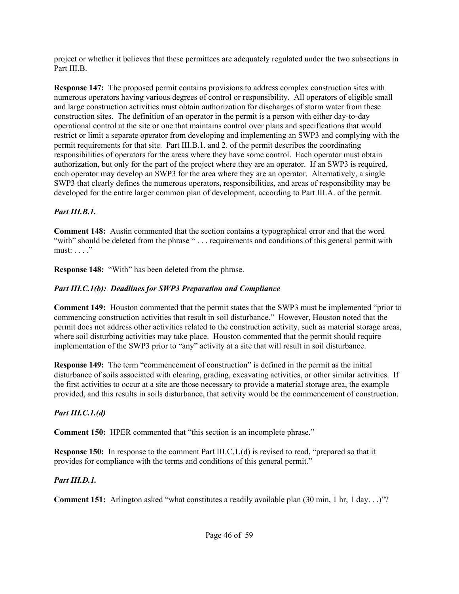project or whether it believes that these permittees are adequately regulated under the two subsections in Part III.B.

**Response 147:** The proposed permit contains provisions to address complex construction sites with numerous operators having various degrees of control or responsibility. All operators of eligible small and large construction activities must obtain authorization for discharges of storm water from these construction sites. The definition of an operator in the permit is a person with either day-to-day operational control at the site or one that maintains control over plans and specifications that would restrict or limit a separate operator from developing and implementing an SWP3 and complying with the permit requirements for that site. Part III.B.1. and 2. of the permit describes the coordinating responsibilities of operators for the areas where they have some control. Each operator must obtain authorization, but only for the part of the project where they are an operator. If an SWP3 is required, each operator may develop an SWP3 for the area where they are an operator. Alternatively, a single SWP3 that clearly defines the numerous operators, responsibilities, and areas of responsibility may be developed for the entire larger common plan of development, according to Part III.A. of the permit.

## *Part III.B.1.*

**Comment 148:** Austin commented that the section contains a typographical error and that the word "with" should be deleted from the phrase "... requirements and conditions of this general permit with must: . . . ."

**Response 148:** "With" has been deleted from the phrase.

# *Part III.C.1(b): Deadlines for SWP3 Preparation and Compliance*

**Comment 149:** Houston commented that the permit states that the SWP3 must be implemented "prior to commencing construction activities that result in soil disturbance." However, Houston noted that the permit does not address other activities related to the construction activity, such as material storage areas, where soil disturbing activities may take place. Houston commented that the permit should require implementation of the SWP3 prior to "any" activity at a site that will result in soil disturbance.

**Response 149:** The term "commencement of construction" is defined in the permit as the initial disturbance of soils associated with clearing, grading, excavating activities, or other similar activities. If the first activities to occur at a site are those necessary to provide a material storage area, the example provided, and this results in soils disturbance, that activity would be the commencement of construction.

# *Part III.C.1.(d)*

**Comment 150:** HPER commented that "this section is an incomplete phrase."

**Response 150:** In response to the comment Part III.C.1.(d) is revised to read, "prepared so that it provides for compliance with the terms and conditions of this general permit."

# *Part III.D.1.*

**Comment 151:** Arlington asked "what constitutes a readily available plan (30 min, 1 hr, 1 day. . .)"?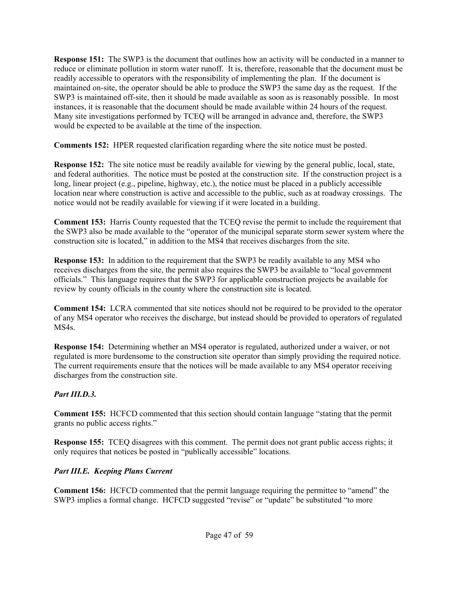**Response 151:** The SWP3 is the document that outlines how an activity will be conducted in a manner to reduce or eliminate pollution in storm water runoff. It is, therefore, reasonable that the document must be readily accessible to operators with the responsibility of implementing the plan. If the document is maintained on-site, the operator should be able to produce the SWP3 the same day as the request. If the SWP3 is maintained off-site, then it should be made available as soon as is reasonably possible. In most instances, it is reasonable that the document should be made available within 24 hours of the request. Many site investigations performed by TCEQ will be arranged in advance and, therefore, the SWP3 would be expected to be available at the time of the inspection.

**Comments 152:** HPER requested clarification regarding where the site notice must be posted.

**Response 152:** The site notice must be readily available for viewing by the general public, local, state, and federal authorities. The notice must be posted at the construction site. If the construction project is a long, linear project (e.g., pipeline, highway, etc.), the notice must be placed in a publicly accessible location near where construction is active and accessible to the public, such as at roadway crossings. The notice would not be readily available for viewing if it were located in a building.

**Comment 153:** Harris County requested that the TCEQ revise the permit to include the requirement that the SWP3 also be made available to the "operator of the municipal separate storm sewer system where the construction site is located," in addition to the MS4 that receives discharges from the site.

**Response 153:** In addition to the requirement that the SWP3 be readily available to any MS4 who receives discharges from the site, the permit also requires the SWP3 be available to "local government officials." This language requires that the SWP3 for applicable construction projects be available for review by county officials in the county where the construction site is located.

**Comment 154:** LCRA commented that site notices should not be required to be provided to the operator of any MS4 operator who receives the discharge, but instead should be provided to operators of regulated MS4s.

**Response 154:** Determining whether an MS4 operator is regulated, authorized under a waiver, or not regulated is more burdensome to the construction site operator than simply providing the required notice. The current requirements ensure that the notices will be made available to any MS4 operator receiving discharges from the construction site.

# *Part III.D.3.*

**Comment 155:** HCFCD commented that this section should contain language "stating that the permit grants no public access rights."

**Response 155:** TCEQ disagrees with this comment. The permit does not grant public access rights; it only requires that notices be posted in "publically accessible" locations.

# *Part III.E. Keeping Plans Current*

**Comment 156:** HCFCD commented that the permit language requiring the permittee to "amend" the SWP3 implies a formal change. HCFCD suggested "revise" or "update" be substituted "to more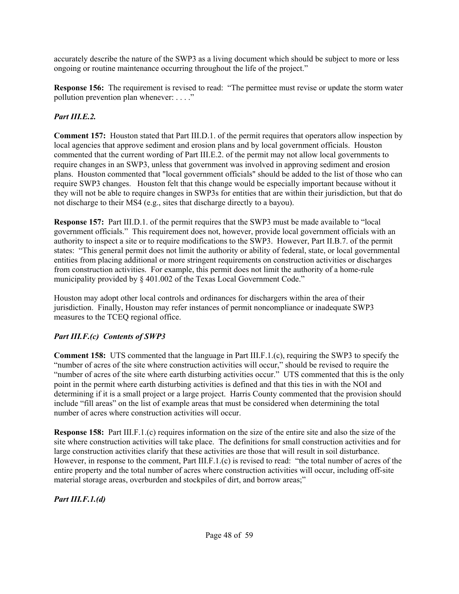accurately describe the nature of the SWP3 as a living document which should be subject to more or less ongoing or routine maintenance occurring throughout the life of the project."

**Response 156:** The requirement is revised to read: "The permittee must revise or update the storm water pollution prevention plan whenever: . . . ."

## *Part III.E.2.*

**Comment 157:** Houston stated that Part III.D.1. of the permit requires that operators allow inspection by local agencies that approve sediment and erosion plans and by local government officials. Houston commented that the current wording of Part III.E.2. of the permit may not allow local governments to require changes in an SWP3, unless that government was involved in approving sediment and erosion plans. Houston commented that "local government officials" should be added to the list of those who can require SWP3 changes. Houston felt that this change would be especially important because without it they will not be able to require changes in SWP3s for entities that are within their jurisdiction, but that do not discharge to their MS4 (e.g., sites that discharge directly to a bayou).

**Response 157:** Part III.D.1. of the permit requires that the SWP3 must be made available to "local government officials." This requirement does not, however, provide local government officials with an authority to inspect a site or to require modifications to the SWP3. However, Part II.B.7. of the permit states: "This general permit does not limit the authority or ability of federal, state, or local governmental entities from placing additional or more stringent requirements on construction activities or discharges from construction activities. For example, this permit does not limit the authority of a home-rule municipality provided by § 401.002 of the Texas Local Government Code."

Houston may adopt other local controls and ordinances for dischargers within the area of their jurisdiction. Finally, Houston may refer instances of permit noncompliance or inadequate SWP3 measures to the TCEQ regional office.

## *Part III.F.(c) Contents of SWP3*

**Comment 158:** UTS commented that the language in Part III.F.1.(c), requiring the SWP3 to specify the "number of acres of the site where construction activities will occur," should be revised to require the "number of acres of the site where earth disturbing activities occur." UTS commented that this is the only point in the permit where earth disturbing activities is defined and that this ties in with the NOI and determining if it is a small project or a large project. Harris County commented that the provision should include "fill areas" on the list of example areas that must be considered when determining the total number of acres where construction activities will occur.

**Response 158:** Part III.F.1.(c) requires information on the size of the entire site and also the size of the site where construction activities will take place. The definitions for small construction activities and for large construction activities clarify that these activities are those that will result in soil disturbance. However, in response to the comment, Part III.F.1.(c) is revised to read: "the total number of acres of the entire property and the total number of acres where construction activities will occur, including off-site material storage areas, overburden and stockpiles of dirt, and borrow areas;"

*Part III.F.1.(d)*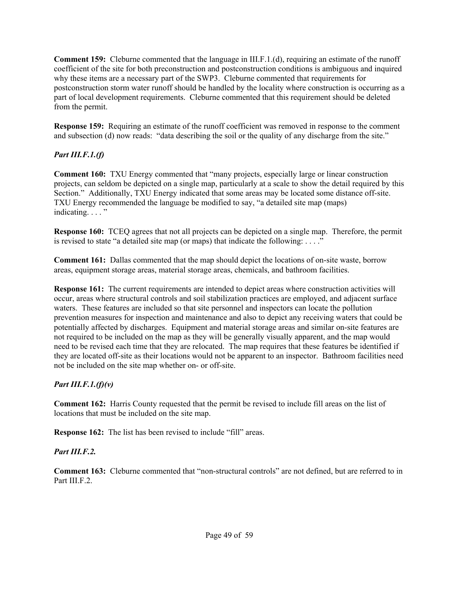**Comment 159:** Cleburne commented that the language in III.F.1.(d), requiring an estimate of the runoff coefficient of the site for both preconstruction and postconstruction conditions is ambiguous and inquired why these items are a necessary part of the SWP3. Cleburne commented that requirements for postconstruction storm water runoff should be handled by the locality where construction is occurring as a part of local development requirements. Cleburne commented that this requirement should be deleted from the permit.

**Response 159:** Requiring an estimate of the runoff coefficient was removed in response to the comment and subsection (d) now reads: "data describing the soil or the quality of any discharge from the site."

## *Part III.F.1.(f)*

**Comment 160:** TXU Energy commented that "many projects, especially large or linear construction projects, can seldom be depicted on a single map, particularly at a scale to show the detail required by this Section." Additionally, TXU Energy indicated that some areas may be located some distance off-site. TXU Energy recommended the language be modified to say, "a detailed site map (maps) indicating. . . . "

**Response 160:** TCEQ agrees that not all projects can be depicted on a single map. Therefore, the permit is revised to state "a detailed site map (or maps) that indicate the following:  $\dots$ ."

**Comment 161:** Dallas commented that the map should depict the locations of on-site waste, borrow areas, equipment storage areas, material storage areas, chemicals, and bathroom facilities.

**Response 161:** The current requirements are intended to depict areas where construction activities will occur, areas where structural controls and soil stabilization practices are employed, and adjacent surface waters. These features are included so that site personnel and inspectors can locate the pollution prevention measures for inspection and maintenance and also to depict any receiving waters that could be potentially affected by discharges. Equipment and material storage areas and similar on-site features are not required to be included on the map as they will be generally visually apparent, and the map would need to be revised each time that they are relocated. The map requires that these features be identified if they are located off-site as their locations would not be apparent to an inspector. Bathroom facilities need not be included on the site map whether on- or off-site.

## *Part III.F.1.(f)(v)*

**Comment 162:** Harris County requested that the permit be revised to include fill areas on the list of locations that must be included on the site map.

**Response 162:** The list has been revised to include "fill" areas.

#### *Part III.F.2.*

**Comment 163:** Cleburne commented that "non-structural controls" are not defined, but are referred to in Part III.F.2.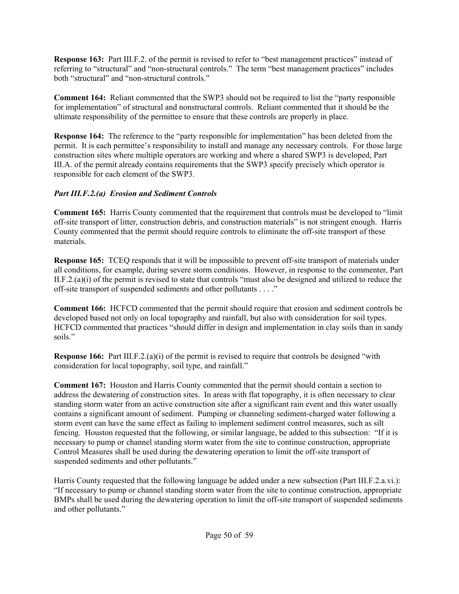**Response 163:** Part III.F.2. of the permit is revised to refer to "best management practices" instead of referring to "structural" and "non-structural controls." The term "best management practices" includes both "structural" and "non-structural controls."

**Comment 164:** Reliant commented that the SWP3 should not be required to list the "party responsible for implementation" of structural and nonstructural controls. Reliant commented that it should be the ultimate responsibility of the permittee to ensure that these controls are properly in place.

**Response 164:** The reference to the "party responsible for implementation" has been deleted from the permit. It is each permittee's responsibility to install and manage any necessary controls. For those large construction sites where multiple operators are working and where a shared SWP3 is developed, Part III.A. of the permit already contains requirements that the SWP3 specify precisely which operator is responsible for each element of the SWP3.

### *Part III.F.2.(a) Erosion and Sediment Controls*

**Comment 165:** Harris County commented that the requirement that controls must be developed to "limit off-site transport of litter, construction debris, and construction materials" is not stringent enough. Harris County commented that the permit should require controls to eliminate the off-site transport of these materials.

**Response 165:** TCEQ responds that it will be impossible to prevent of f-site transport of materials under all conditions, for example, during severe storm conditions. However, in response to the commenter, Part II.F.2.(a)(i) of the permit is revised to state that controls "must also be designed and utilized to reduce the off-site transport of suspended sediments and other pollutants . . . ."

**Comment 166:** HCFCD commented that the permit should require that erosion and sediment controls be developed based not only on local topography and rainfall, but also with consideration for soil types. HCFCD commented that practices "should differ in design and implementation in clay soils than in sandy soils."

**Response 166:** Part III.F.2.(a)(i) of the permit is revised to require that controls be designed "with consideration for local topography, soil type, and rainfall."

**Comment 167:** Houston and Harris County commented that the permit should contain a section to address the dewatering of construction sites. In areas with flat topography, it is often necessary to clear standing storm water from an active construction site after a significant rain event and this water usually contains a significant amount of sediment. Pumping or channeling sediment-charged water following a storm event can have the same effect as failing to implement sediment control measures, such as silt fencing. Houston requested that the following, or similar language, be added to this subsection: "If it is necessary to pump or channel standing storm water from the site to continue construction, appropriate Control Measures shall be used during the dewatering operation to limit the off-site transport of suspended sediments and other pollutants."

Harris County requested that the following language be added under a new subsection (Part III.F.2.a.vi.): "If necessary to pump or channel standing storm water from the site to continue construction, appropriate BMPs shall be used during the dewatering operation to limit the off-site transport of suspended sediments and other pollutants."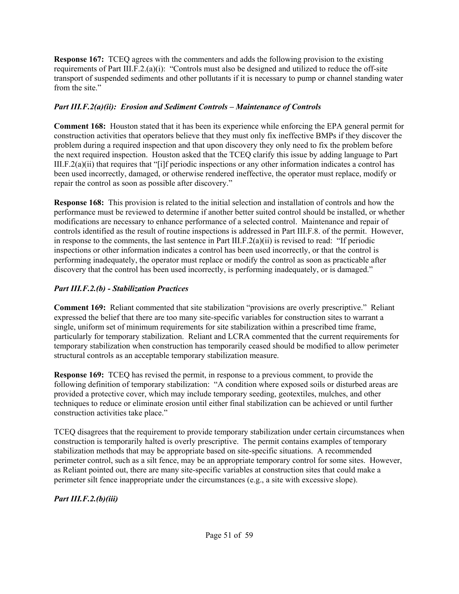**Response 167:** TCEQ agrees with the commenters and adds the following provision to the existing requirements of Part III.F.2.(a)(i): "Controls must also be designed and utilized to reduce the off-site transport of suspended sediments and other pollutants if it is necessary to pump or channel standing water from the site."

### *Part III.F.2(a)(ii): Erosion and Sediment Controls – Maintenance of Controls*

**Comment 168:** Houston stated that it has been its experience while enforcing the EPA general permit for construction activities that operators believe that they must only fix ineffective BMPs if they discover the problem during a required inspection and that upon discovery they only need to fix the problem before the next required inspection. Houston asked that the TCEQ clarify this issue by adding language to Part III.F.2(a)(ii) that requires that "[i]f periodic inspections or any other information indicates a control has been used incorrectly, damaged, or otherwise rendered ineffective, the operator must replace, modify or repair the control as soon as possible after discovery."

**Response 168:** This provision is related to the initial selection and installation of controls and how the performance must be reviewed to determine if another better suited control should be installed, or whether modifications are necessary to enhance performance of a selected control. Maintenance and repair of controls identified as the result of routine inspections is addressed in Part III.F.8. of the permit. However, in response to the comments, the last sentence in Part III.F.2(a)(ii) is revised to read: "If periodic inspections or other information indicates a control has been used incorrectly, or that the control is performing inadequately, the operator must replace or modify the control as soon as practicable after discovery that the control has been used incorrectly, is performing inadequately, or is damaged."

## *Part III.F.2.(b) - Stabilization Practices*

**Comment 169:** Reliant commented that site stabilization "provisions are overly prescriptive." Reliant expressed the belief that there are too many site-specific variables for construction sites to warrant a single, uniform set of minimum requirements for site stabilization within a prescribed time frame, particularly for temporary stabilization. Reliant and LCRA commented that the current requirements for temporary stabilization when construction has temporarily ceased should be modified to allow perimeter structural controls as an acceptable temporary stabilization measure.

**Response 169:** TCEQ has revised the permit, in response to a previous comment, to provide the following definition of temporary stabilization: "A condition where exposed soils or disturbed areas are provided a protective cover, which may include temporary seeding, geotextiles, mulches, and other techniques to reduce or eliminate erosion until either final stabilization can be achieved or until further construction activities take place."

TCEQ disagrees that the requirement to provide temporary stabilization under certain circumstances when construction is temporarily halted is overly prescriptive. The permit contains examples of temporary stabilization methods that may be appropriate based on site-specific situations. A recommended perimeter control, such as a silt fence, may be an appropriate temporary control for some sites. However, as Reliant pointed out, there are many site-specific variables at construction sites that could make a perimeter silt fence inappropriate under the circumstances (e.g., a site with excessive slope).

*Part III.F.2.(b)(iii)*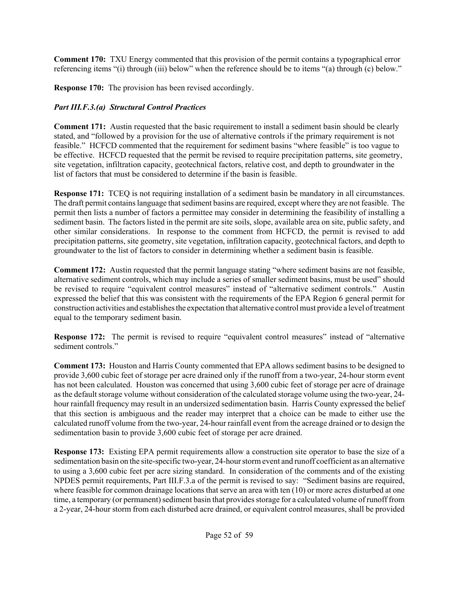**Comment 170:** TXU Energy commented that this provision of the permit contains a typographical error referencing items "(i) through (iii) below" when the reference should be to items "(a) through (c) below."

**Response 170:** The provision has been revised accordingly.

# *Part III.F.3.(a) Structural Control Practices*

**Comment 171:** Austin requested that the basic requirement to install a sediment basin should be clearly stated, and "followed by a provision for the use of alternative controls if the primary requirement is not feasible." HCFCD commented that the requirement for sediment basins "where feasible" is too vague to be effective. HCFCD requested that the permit be revised to require precipitation patterns, site geometry, site vegetation, infiltration capacity, geotechnical factors, relative cost, and depth to groundwater in the list of factors that must be considered to determine if the basin is feasible.

**Response 171:** TCEQ is not requiring installation of a sediment basin be mandatory in all circumstances. The draft permit contains language that sediment basins are required, except where they are not feasible. The permit then lists a number of factors a permittee may consider in determining the feasibility of installing a sediment basin. The factors listed in the permit are site soils, slope, available area on site, public safety, and other similar considerations. In response to the comment from HCFCD, the permit is revised to add precipitation patterns, site geometry, site vegetation, infiltration capacity, geotechnical factors, and depth to groundwater to the list of factors to consider in determining whether a sediment basin is feasible.

**Comment 172:** Austin requested that the permit language stating "where sediment basins are not feasible, alternative sediment controls, which may include a series of smaller sediment basins, must be used" should be revised to require "equivalent control measures" instead of "alternative sediment controls." Austin expressed the belief that this was consistent with the requirements of the EPA Region 6 general permit for construction activities and establishes the expectation that alternative control must provide a level of treatment equal to the temporary sediment basin.

**Response 172:** The permit is revised to require "equivalent control measures" instead of "alternative sediment controls."

**Comment 173:** Houston and Harris County commented that EPA allows sediment basins to be designed to provide 3,600 cubic feet of storage per acre drained only if the runoff from a two-year, 24-hour storm event has not been calculated. Houston was concerned that using 3,600 cubic feet of storage per acre of drainage as the default storage volume without consideration of the calculated storage volume using the two-year, 24 hour rainfall frequency may result in an undersized sedimentation basin. Harris County expressed the belief that this section is ambiguous and the reader may interpret that a choice can be made to either use the calculated runoff volume from the two-year, 24-hour rainfall event from the acreage drained or to design the sedimentation basin to provide 3,600 cubic feet of storage per acre drained.

**Response 173:** Existing EPA permit requirements allow a construction site operator to base the size of a sedimentation basin on the site-specific two-year, 24-hour storm event and runoff coefficient as an alternative to using a 3,600 cubic feet per acre sizing standard. In consideration of the comments and of the existing NPDES permit requirements, Part III.F.3.a of the permit is revised to say: "Sediment basins are required, where feasible for common drainage locations that serve an area with ten (10) or more acres disturbed at one time, a temporary (or permanent) sediment basin that provides storage for a calculated volume of runoff from a 2-year, 24-hour storm from each disturbed acre drained, or equivalent control measures, shall be provided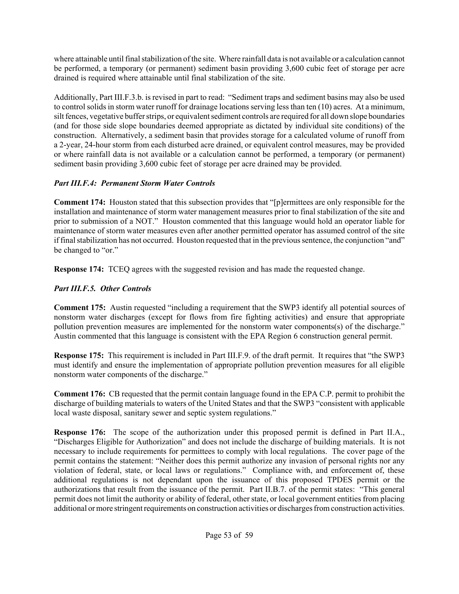where attainable until final stabilization of the site. Where rainfall data is not available or a calculation cannot be performed, a temporary (or permanent) sediment basin providing 3,600 cubic feet of storage per acre drained is required where attainable until final stabilization of the site.

Additionally, Part III.F.3.b. is revised in part to read: "Sediment traps and sediment basins may also be used to control solids in storm water runoff for drainage locations serving less than ten (10) acres. At a minimum, silt fences, vegetative buffer strips, or equivalent sediment controls are required for all down slope boundaries (and for those side slope boundaries deemed appropriate as dictated by individual site conditions) of the construction. Alternatively, a sediment basin that provides storage for a calculated volume of runoff from a 2-year, 24-hour storm from each disturbed acre drained, or equivalent control measures, may be provided or where rainfall data is not available or a calculation cannot be performed, a temporary (or permanent) sediment basin providing 3,600 cubic feet of storage per acre drained may be provided.

# *Part III.F.4: Permanent Storm Water Controls*

**Comment 174:** Houston stated that this subsection provides that "[p]ermittees are only responsible for the installation and maintenance of storm water management measures prior to final stabilization of the site and prior to submission of a NOT." Houston commented that this language would hold an operator liable for maintenance of storm water measures even after another permitted operator has assumed control of the site if final stabilization has not occurred. Houston requested that in the previous sentence, the conjunction "and" be changed to "or."

**Response 174:** TCEQ agrees with the suggested revision and has made the requested change.

# *Part III.F.5. Other Controls*

**Comment 175:** Austin requested "including a requirement that the SWP3 identify all potential sources of nonstorm water discharges (except for flows from fire fighting activities) and ensure that appropriate pollution prevention measures are implemented for the nonstorm water components(s) of the discharge." Austin commented that this language is consistent with the EPA Region 6 construction general permit.

**Response 175:** This requirement is included in Part III.F.9. of the draft permit. It requires that "the SWP3 must identify and ensure the implementation of appropriate pollution prevention measures for all eligible nonstorm water components of the discharge."

**Comment 176:** CB requested that the permit contain language found in the EPA C.P. permit to prohibit the discharge of building materials to waters of the United States and that the SWP3 "consistent with applicable local waste disposal, sanitary sewer and septic system regulations."

**Response 176:** The scope of the authorization under this proposed permit is defined in Part II.A., "Discharges Eligible for Authorization" and does not include the discharge of building materials. It is not necessary to include requirements for permittees to comply with local regulations. The cover page of the permit contains the statement: "Neither does this permit authorize any invasion of personal rights nor any violation of federal, state, or local laws or regulations." Compliance with, and enforcement of, these additional regulations is not dependant upon the issuance of this proposed TPDES permit or the authorizations that result from the issuance of the permit. Part II.B.7. of the permit states: "This general permit does not limit the authority or ability of federal, other state, or local government entities from placing additional or more stringent requirements on construction activities or discharges from construction activities.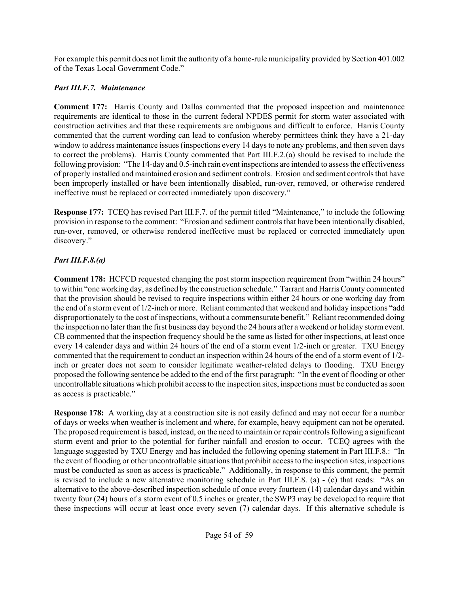For example this permit does not limit the authority of a home-rule municipality provided by Section 401.002 of the Texas Local Government Code."

# *Part III.F.7. Maintenance*

**Comment 177:** Harris County and Dallas commented that the proposed inspection and maintenance requirements are identical to those in the current federal NPDES permit for storm water associated with construction activities and that these requirements are ambiguous and difficult to enforce. Harris County commented that the current wording can lead to confusion whereby permittees think they have a 21-day window to address maintenance issues (inspections every 14 days to note any problems, and then seven days to correct the problems). Harris County commented that Part III.F.2.(a) should be revised to include the following provision: "The 14-day and 0.5-inch rain event inspections are intended to assess the effectiveness of properly installed and maintained erosion and sediment controls. Erosion and sediment controls that have been improperly installed or have been intentionally disabled, run-over, removed, or otherwise rendered ineffective must be replaced or corrected immediately upon discovery."

**Response 177:** TCEQ has revised Part III.F.7. of the permit titled "Maintenance," to include the following provision in response to the comment: "Erosion and sediment controls that have been intentionally disabled, run-over, removed, or otherwise rendered ineffective must be replaced or corrected immediately upon discovery."

# *Part III.F.8.(a)*

**Comment 178:** HCFCD requested changing the post storm inspection requirement from "within 24 hours" to within "one working day, as defined by the construction schedule." Tarrant and Harris County commented that the provision should be revised to require inspections within either 24 hours or one working day from the end of a storm event of 1/2-inch or more. Reliant commented that weekend and holiday inspections "add disproportionately to the cost of inspections, without a commensurate benefit." Reliant recommended doing the inspection no later than the first business day beyond the 24 hours after a weekend or holiday storm event. CB commented that the inspection frequency should be the same as listed for other inspections, at least once every 14 calender days and within 24 hours of the end of a storm event 1/2-inch or greater. TXU Energy commented that the requirement to conduct an inspection within 24 hours of the end of a storm event of 1/2 inch or greater does not seem to consider legitimate weather-related delays to flooding. TXU Energy proposed the following sentence be added to the end of the first paragraph: "In the event of flooding or other uncontrollable situations which prohibit access to the inspection sites, inspections must be conducted as soon as access is practicable."

**Response 178:** A working day at a construction site is not easily defined and may not occur for a number of days or weeks when weather is inclement and where, for example, heavy equipment can not be operated. The proposed requirement is based, instead, on the need to maintain or repair controls following a significant storm event and prior to the potential for further rainfall and erosion to occur. TCEQ agrees with the language suggested by TXU Energy and has included the following opening statement in Part III.F.8.: "In the event of flooding or other uncontrollable situations that prohibit access to the inspection sites, inspections must be conducted as soon as access is practicable." Additionally, in response to this comment, the permit is revised to include a new alternative monitoring schedule in Part III.F.8. (a) - (c) that reads: "As an alternative to the above-described inspection schedule of once every fourteen (14) calendar days and within twenty four (24) hours of a storm event of 0.5 inches or greater, the SWP3 may be developed to require that these inspections will occur at least once every seven (7) calendar days. If this alternative schedule is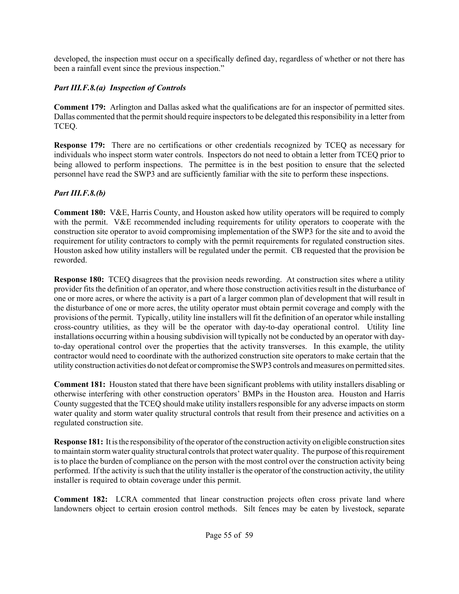developed, the inspection must occur on a specifically defined day, regardless of whether or not there has been a rainfall event since the previous inspection."

## *Part III.F.8.(a) Inspection of Controls*

**Comment 179:** Arlington and Dallas asked what the qualifications are for an inspector of permitted sites. Dallas commented that the permit should require inspectors to be delegated this responsibility in a letter from TCEQ.

**Response 179:** There are no certifications or other credentials recognized by TCEQ as necessary for individuals who inspect storm water controls. Inspectors do not need to obtain a letter from TCEQ prior to being allowed to perform inspections. The permittee is in the best position to ensure that the selected personnel have read the SWP3 and are sufficiently familiar with the site to perform these inspections.

### *Part III.F.8.(b)*

**Comment 180:** V&E, Harris County, and Houston asked how utility operators will be required to comply with the permit. V&E recommended including requirements for utility operators to cooperate with the construction site operator to avoid compromising implementation of the SWP3 for the site and to avoid the requirement for utility contractors to comply with the permit requirements for regulated construction sites. Houston asked how utility installers will be regulated under the permit. CB requested that the provision be reworded.

**Response 180:** TCEQ disagrees that the provision needs rewording. At construction sites where a utility provider fits the definition of an operator, and where those construction activities result in the disturbance of one or more acres, or where the activity is a part of a larger common plan of development that will result in the disturbance of one or more acres, the utility operator must obtain permit coverage and comply with the provisions of the permit. Typically, utility line installers will fit the definition of an operator while installing cross-country utilities, as they will be the operator with day-to-day operational control. Utility line installations occurring within a housing subdivision will typically not be conducted by an operator with dayto-day operational control over the properties that the activity transverses. In this example, the utility contractor would need to coordinate with the authorized construction site operators to make certain that the utility construction activities do not defeat or compromise the SWP3 controls and measures on permitted sites.

**Comment 181:** Houston stated that there have been significant problems with utility installers disabling or otherwise interfering with other construction operators' BMPs in the Houston area. Houston and Harris County suggested that the TCEQ should make utility installers responsible for any adverse impacts on storm water quality and storm water quality structural controls that result from their presence and activities on a regulated construction site.

**Response 181:** It is the responsibility of the operator of the construction activity on eligible construction sites to maintain storm water quality structural controls that protect water quality. The purpose of this requirement is to place the burden of compliance on the person with the most control over the construction activity being performed. If the activity is such that the utility installer is the operator of the construction activity, the utility installer is required to obtain coverage under this permit.

**Comment 182:** LCRA commented that linear construction projects often cross private land where landowners object to certain erosion control methods. Silt fences may be eaten by livestock, separate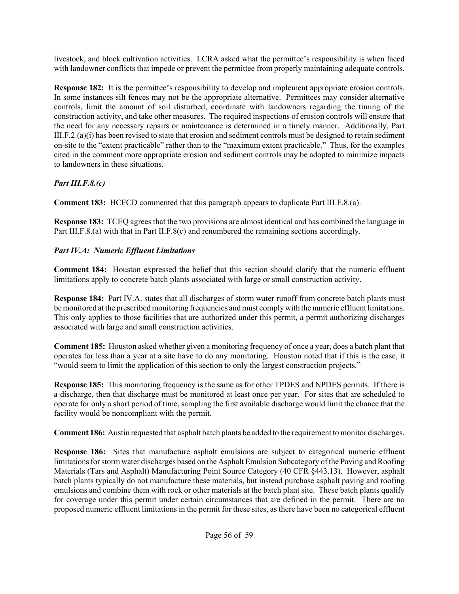livestock, and block cultivation activities. LCRA asked what the permittee's responsibility is when faced with landowner conflicts that impede or prevent the permittee from properly maintaining adequate controls.

**Response 182:** It is the permittee's responsibility to develop and implement appropriate erosion controls. In some instances silt fences may not be the appropriate alternative. Permittees may consider alternative controls, limit the amount of soil disturbed, coordinate with landowners regarding the timing of the construction activity, and take other measures. The required inspections of erosion controls will ensure that the need for any necessary repairs or maintenance is determined in a timely manner. Additionally, Part III.F.2.(a)(i) has been revised to state that erosion and sediment controls must be designed to retain sediment on-site to the "extent practicable" rather than to the "maximum extent practicable." Thus, for the examples cited in the comment more appropriate erosion and sediment controls may be adopted to minimize impacts to landowners in these situations.

# *Part III.F.8.(c)*

**Comment 183:** HCFCD commented that this paragraph appears to duplicate Part III.F.8.(a).

**Response 183:** TCEQ agrees that the two provisions are almost identical and has combined the language in Part III.F.8.(a) with that in Part II.F.8(c) and renumbered the remaining sections accordingly.

# *Part IV.A: Numeric Effluent Limitations*

**Comment 184:** Houston expressed the belief that this section should clarify that the numeric effluent limitations apply to concrete batch plants associated with large or small construction activity.

**Response 184:** Part IV.A. states that all discharges of storm water runoff from concrete batch plants must be monitored at the prescribed monitoring frequencies and must comply with the numeric effluent limitations. This only applies to those facilities that are authorized under this permit, a permit authorizing discharges associated with large and small construction activities.

**Comment 185:** Houston asked whether given a monitoring frequency of once a year, does a batch plant that operates for less than a year at a site have to do any monitoring. Houston noted that if this is the case, it "would seem to limit the application of this section to only the largest construction projects."

**Response 185:** This monitoring frequency is the same as for other TPDES and NPDES permits. If there is a discharge, then that discharge must be monitored at least once per year. For sites that are scheduled to operate for only a short period of time, sampling the first available discharge would limit the chance that the facility would be noncompliant with the permit.

**Comment 186:** Austin requested that asphalt batch plants be added to the requirement to monitor discharges.

**Response 186:** Sites that manufacture asphalt emulsions are subject to categorical numeric effluent limitations for storm water discharges based on the Asphalt Emulsion Subcategory of the Paving and Roofing Materials (Tars and Asphalt) Manufacturing Point Source Category (40 CFR §443.13). However, asphalt batch plants typically do not manufacture these materials, but instead purchase asphalt paving and roofing emulsions and combine them with rock or other materials at the batch plant site. These batch plants qualify for coverage under this permit under certain circumstances that are defined in the permit. There are no proposed numeric effluent limitations in the permit for these sites, as there have been no categorical effluent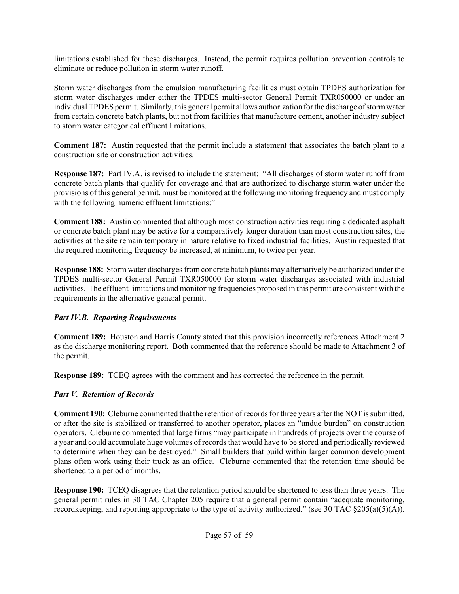limitations established for these discharges. Instead, the permit requires pollution prevention controls to eliminate or reduce pollution in storm water runoff.

Storm water discharges from the emulsion manufacturing facilities must obtain TPDES authorization for storm water discharges under either the TPDES multi-sector General Permit TXR050000 or under an individual TPDES permit. Similarly, this general permit allows authorization for the discharge of storm water from certain concrete batch plants, but not from facilities that manufacture cement, another industry subject to storm water categorical effluent limitations.

**Comment 187:** Austin requested that the permit include a statement that associates the batch plant to a construction site or construction activities.

**Response 187:** Part IV.A. is revised to include the statement: "All discharges of storm water runoff from concrete batch plants that qualify for coverage and that are authorized to discharge storm water under the provisions of this general permit, must be monitored at the following monitoring frequency and must comply with the following numeric effluent limitations:"

**Comment 188:** Austin commented that although most construction activities requiring a dedicated asphalt or concrete batch plant may be active for a comparatively longer duration than most construction sites, the activities at the site remain temporary in nature relative to fixed industrial facilities. Austin requested that the required monitoring frequency be increased, at minimum, to twice per year.

**Response 188:** Storm water discharges from concrete batch plants may alternatively be authorized under the TPDES multi-sector General Permit TXR050000 for storm water discharges associated with industrial activities. The effluent limitations and monitoring frequencies proposed in this permit are consistent with the requirements in the alternative general permit.

#### *Part IV.B. Reporting Requirements*

**Comment 189:** Houston and Harris County stated that this provision incorrectly references Attachment 2 as the discharge monitoring report. Both commented that the reference should be made to Attachment 3 of the permit.

**Response 189:** TCEQ agrees with the comment and has corrected the reference in the permit.

## *Part V. Retention of Records*

**Comment 190:** Cleburne commented that the retention of records for three years after the NOT is submitted, or after the site is stabilized or transferred to another operator, places an "undue burden" on construction operators. Cleburne commented that large firms "may participate in hundreds of projects over the course of a year and could accumulate huge volumes of records that would have to be stored and periodically reviewed to determine when they can be destroyed." Small builders that build within larger common development plans often work using their truck as an office. Cleburne commented that the retention time should be shortened to a period of months.

**Response 190:** TCEQ disagrees that the retention period should be shortened to less than three years. The general permit rules in 30 TAC Chapter 205 require that a general permit contain "adequate monitoring, record keeping, and reporting appropriate to the type of activity authorized." (see 30 TAC  $\S 205(a)(5)(A)$ ).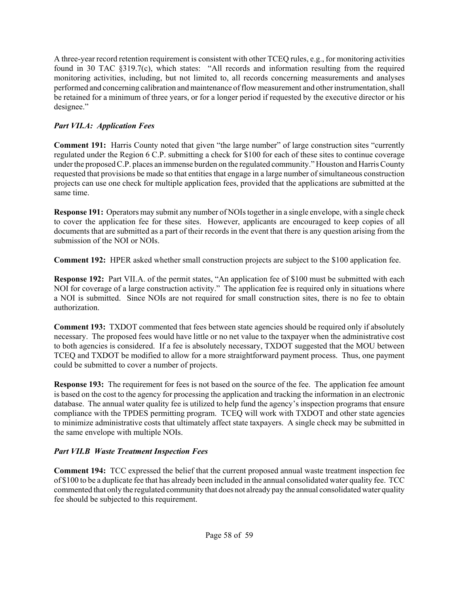A three-year record retention requirement is consistent with other TCEQ rules, e.g., for monitoring activities found in 30 TAC §319.7(c), which states: "All records and information resulting from the required monitoring activities, including, but not limited to, all records concerning measurements and analyses performed and concerning calibration and maintenance of flow measurement and other instrumentation, shall be retained for a minimum of three years, or for a longer period if requested by the executive director or his designee."

## *Part VII.A: Application Fees*

**Comment 191:** Harris County noted that given "the large number" of large construction sites "currently regulated under the Region 6 C.P. submitting a check for \$100 for each of these sites to continue coverage under the proposed C.P. places an immense burden on the regulated community." Houston and Harris County requested that provisions be made so that entities that engage in a large number of simultaneous construction projects can use one check for multiple application fees, provided that the applications are submitted at the same time.

**Response 191:** Operators may submit any number of NOIs together in a single envelope, with a single check to cover the application fee for these sites. However, applicants are encouraged to keep copies of all documents that are submitted as a part of their records in the event that there is any question arising from the submission of the NOI or NOIs.

**Comment 192:** HPER asked whether small construction projects are subject to the \$100 application fee.

**Response 192:** Part VII.A. of the permit states, "An application fee of \$100 must be submitted with each NOI for coverage of a large construction activity." The application fee is required only in situations where a NOI is submitted. Since NOIs are not required for small construction sites, there is no fee to obtain authorization.

**Comment 193:** TXDOT commented that fees between state agencies should be required only if absolutely necessary. The proposed fees would have little or no net value to the taxpayer when the administrative cost to both agencies is considered. If a fee is absolutely necessary, TXDOT suggested that the MOU between TCEQ and TXDOT be modified to allow for a more straightforward payment process. Thus, one payment could be submitted to cover a number of projects.

**Response 193:** The requirement for fees is not based on the source of the fee. The application fee amount is based on the cost to the agency for processing the application and tracking the information in an electronic database. The annual water quality fee is utilized to help fund the agency's inspection programs that ensure compliance with the TPDES permitting program. TCEQ will work with TXDOT and other state agencies to minimize administrative costs that ultimately affect state taxpayers. A single check may be submitted in the same envelope with multiple NOIs.

## *Part VII.B Waste Treatment Inspection Fees*

**Comment 194:** TCC expressed the belief that the current proposed annual waste treatment inspection fee of \$100 to be a duplicate fee that has already been included in the annual consolidated water quality fee. TCC commented that only the regulated community that does not already pay the annual consolidated water quality fee should be subjected to this requirement.